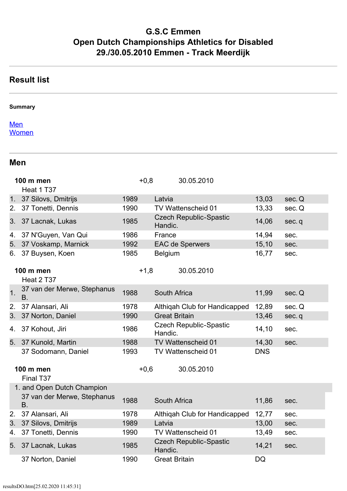# **G.S.C Emmen Open Dutch Championships Athletics for Disabled 29./30.05.2010 Emmen - Track Meerdijk**

## **Result list**

#### **Summary**

#### **[Men](https://www.team-thomas.org/res10/resultsDO.htm#Men) [Women](https://www.team-thomas.org/res10/resultsDO.htm#Women)**

#### **Men**

|                | <b>100 m men</b><br>Heat 1 T37           | $+0,8$ | 30.05.2010                               |            |        |
|----------------|------------------------------------------|--------|------------------------------------------|------------|--------|
|                | 1. 37 Silovs, Dmitrijs                   | 1989   | Latvia                                   | 13,03      | sec. Q |
| 2.             | 37 Tonetti, Dennis                       | 1990   | TV Wattenscheid 01                       | 13,33      | sec. Q |
|                | 3. 37 Lacnak, Lukas                      | 1985   | <b>Czech Republic-Spastic</b><br>Handic. | 14,06      | sec.q  |
| 4.             | 37 N'Guyen, Van Qui                      | 1986   | France                                   | 14,94      | sec.   |
| 5.             | 37 Voskamp, Marnick                      | 1992   | <b>EAC de Sperwers</b>                   | 15,10      | sec.   |
| 6.             | 37 Buysen, Koen                          | 1985   | <b>Belgium</b>                           | 16,77      | sec.   |
|                | <b>100 m men</b><br>Heat 2 T37           | $+1,8$ | 30.05.2010                               |            |        |
| 1 <sub>1</sub> | 37 van der Merwe, Stephanus<br><b>B.</b> | 1988   | South Africa                             | 11,99      | sec. Q |
| 2.             | 37 Alansari, Ali                         | 1978   | Althiqah Club for Handicapped            | 12,89      | sec. Q |
| 3.             | 37 Norton, Daniel                        | 1990   | <b>Great Britain</b>                     | 13,46      | sec.q  |
| 4.             | 37 Kohout, Jiri                          | 1986   | <b>Czech Republic-Spastic</b><br>Handic. | 14,10      | sec.   |
| 5.             | 37 Kunold, Martin                        | 1988   | TV Wattenscheid 01                       | 14,30      | sec.   |
|                | 37 Sodomann, Daniel                      | 1993   | TV Wattenscheid 01                       | <b>DNS</b> |        |
|                | <b>100 m men</b><br>Final T37            | $+0,6$ | 30.05.2010                               |            |        |
|                | 1. and Open Dutch Champion               |        |                                          |            |        |
|                | 37 van der Merwe, Stephanus<br><b>B.</b> | 1988   | South Africa                             | 11,86      | sec.   |
| 2.             | 37 Alansari, Ali                         | 1978   | Althiqah Club for Handicapped            | 12,77      | sec.   |
| 3.             | 37 Silovs, Dmitrijs                      | 1989   | Latvia                                   | 13,00      | sec.   |
| 4.             | 37 Tonetti, Dennis                       | 1990   | TV Wattenscheid 01                       | 13,49      | sec.   |
| 5.             | 37 Lacnak, Lukas                         | 1985   | <b>Czech Republic-Spastic</b><br>Handic. | 14,21      | sec.   |
|                | 37 Norton, Daniel                        | 1990   | <b>Great Britain</b>                     | DQ         |        |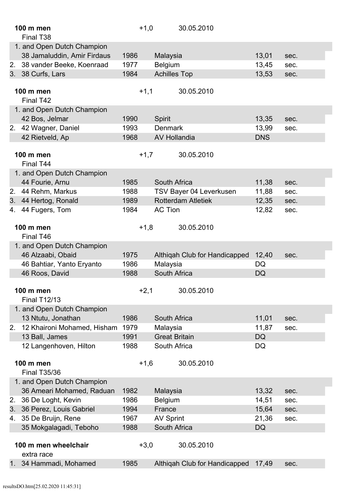|    | 100 m men<br>Final T <sub>38</sub>                        | $+1,0$ |                      | 30.05.2010                    |            |      |
|----|-----------------------------------------------------------|--------|----------------------|-------------------------------|------------|------|
|    | 1. and Open Dutch Champion<br>38 Jamaluddin, Amir Firdaus | 1986   | Malaysia             |                               | 13,01      | sec. |
| 2. | 38 vander Beeke, Koenraad                                 | 1977   | <b>Belgium</b>       |                               | 13,45      | sec. |
|    | 3. 38 Curfs, Lars                                         | 1984   | <b>Achilles Top</b>  |                               | 13,53      | sec. |
|    |                                                           |        |                      |                               |            |      |
|    | 100 m men<br>Final T42                                    | $+1,1$ |                      | 30.05.2010                    |            |      |
|    | 1. and Open Dutch Champion                                |        |                      |                               |            |      |
|    | 42 Bos, Jelmar                                            | 1990   | <b>Spirit</b>        |                               | 13,35      | sec. |
|    | 2. 42 Wagner, Daniel                                      | 1993   | <b>Denmark</b>       |                               | 13,99      | sec. |
|    | 42 Rietveld, Ap                                           | 1968   | <b>AV Hollandia</b>  |                               | <b>DNS</b> |      |
|    |                                                           |        |                      |                               |            |      |
|    | 100 m men<br>Final T44                                    | $+1,7$ |                      | 30.05.2010                    |            |      |
|    | 1. and Open Dutch Champion                                |        |                      |                               |            |      |
|    | 44 Fourie, Arnu                                           | 1985   | South Africa         |                               | 11,38      | sec. |
|    | 2. 44 Rehm, Markus                                        | 1988   |                      | TSV Bayer 04 Leverkusen       | 11,88      | sec. |
| 3. | 44 Hertog, Ronald                                         | 1989   |                      | <b>Rotterdam Atletiek</b>     | 12,35      | sec. |
| 4. | 44 Fugers, Tom                                            | 1984   | <b>AC Tion</b>       |                               | 12,82      | sec. |
|    |                                                           |        |                      |                               |            |      |
|    | 100 m men                                                 | $+1,8$ |                      | 30.05.2010                    |            |      |
|    | Final T46                                                 |        |                      |                               |            |      |
|    | 1. and Open Dutch Champion                                |        |                      |                               |            |      |
|    | 46 Alzaabi, Obaid                                         | 1975   |                      | Althiqah Club for Handicapped | 12,40      | sec. |
|    | 46 Bahtiar, Yanto Eryanto                                 | 1986   | Malaysia             |                               | DQ         |      |
|    | 46 Roos, David                                            | 1988   | South Africa         |                               | <b>DQ</b>  |      |
|    | 100 m men                                                 | $+2,1$ |                      | 30.05.2010                    |            |      |
|    | <b>Final T12/13</b>                                       |        |                      |                               |            |      |
|    | 1. and Open Dutch Champion                                |        |                      |                               |            |      |
|    | 13 Ntutu, Jonathan                                        | 1986   | South Africa         |                               | 11,01      | sec. |
| 2. | 12 Khaironi Mohamed, Hisham                               | 1979   | Malaysia             |                               | 11,87      | sec. |
|    | 13 Ball, James                                            | 1991   | <b>Great Britain</b> |                               | <b>DQ</b>  |      |
|    | 12 Langenhoven, Hilton                                    | 1988   | South Africa         |                               | <b>DQ</b>  |      |
|    |                                                           |        |                      |                               |            |      |
|    | 100 m men<br><b>Final T35/36</b>                          | $+1,6$ |                      | 30.05.2010                    |            |      |
|    | 1. and Open Dutch Champion                                |        |                      |                               |            |      |
|    | 36 Ameari Mohamed, Raduan                                 | 1982   | Malaysia             |                               | 13,32      | sec. |
| 2. | 36 De Loght, Kevin                                        | 1986   | <b>Belgium</b>       |                               | 14,51      | sec. |
| 3. | 36 Perez, Louis Gabriel                                   | 1994   | France               |                               | 15,64      | sec. |
|    | 4. 35 De Bruijn, Rene                                     | 1967   | <b>AV Sprint</b>     |                               | 21,36      | sec. |
|    | 35 Mokgalagadi, Teboho                                    | 1988   | South Africa         |                               | <b>DQ</b>  |      |
|    |                                                           |        |                      |                               |            |      |
|    | 100 m men wheelchair                                      | $+3,0$ |                      | 30.05.2010                    |            |      |
|    | extra race                                                |        |                      |                               |            |      |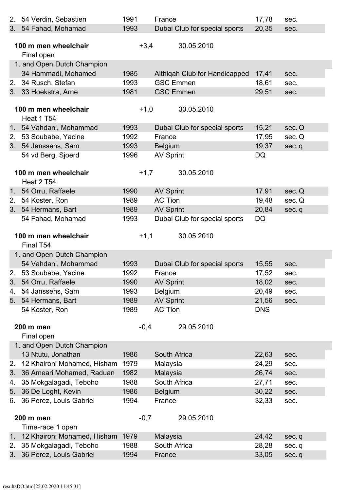| 2.                                                                                                                                                                                                                                                                                                                                                                                                                                                                                                                                                                                                                                                                                                                                                                                                                                                                                                                                                                                                                                                                                                                                                                                                                                                                                                                                                                                                                                                                                                                                                                                                                                                                                                                                                                                                                                  | 54 Verdin, Sebastien                                                                                                                                                        | 1991 | France                        | 17,78 | sec. |  |  |  |  |
|-------------------------------------------------------------------------------------------------------------------------------------------------------------------------------------------------------------------------------------------------------------------------------------------------------------------------------------------------------------------------------------------------------------------------------------------------------------------------------------------------------------------------------------------------------------------------------------------------------------------------------------------------------------------------------------------------------------------------------------------------------------------------------------------------------------------------------------------------------------------------------------------------------------------------------------------------------------------------------------------------------------------------------------------------------------------------------------------------------------------------------------------------------------------------------------------------------------------------------------------------------------------------------------------------------------------------------------------------------------------------------------------------------------------------------------------------------------------------------------------------------------------------------------------------------------------------------------------------------------------------------------------------------------------------------------------------------------------------------------------------------------------------------------------------------------------------------------|-----------------------------------------------------------------------------------------------------------------------------------------------------------------------------|------|-------------------------------|-------|------|--|--|--|--|
|                                                                                                                                                                                                                                                                                                                                                                                                                                                                                                                                                                                                                                                                                                                                                                                                                                                                                                                                                                                                                                                                                                                                                                                                                                                                                                                                                                                                                                                                                                                                                                                                                                                                                                                                                                                                                                     |                                                                                                                                                                             | 1993 | Dubai Club for special sports | 20,35 | sec. |  |  |  |  |
|                                                                                                                                                                                                                                                                                                                                                                                                                                                                                                                                                                                                                                                                                                                                                                                                                                                                                                                                                                                                                                                                                                                                                                                                                                                                                                                                                                                                                                                                                                                                                                                                                                                                                                                                                                                                                                     |                                                                                                                                                                             |      |                               |       |      |  |  |  |  |
|                                                                                                                                                                                                                                                                                                                                                                                                                                                                                                                                                                                                                                                                                                                                                                                                                                                                                                                                                                                                                                                                                                                                                                                                                                                                                                                                                                                                                                                                                                                                                                                                                                                                                                                                                                                                                                     |                                                                                                                                                                             |      | 30.05.2010                    |       |      |  |  |  |  |
|                                                                                                                                                                                                                                                                                                                                                                                                                                                                                                                                                                                                                                                                                                                                                                                                                                                                                                                                                                                                                                                                                                                                                                                                                                                                                                                                                                                                                                                                                                                                                                                                                                                                                                                                                                                                                                     | Final open                                                                                                                                                                  |      |                               |       |      |  |  |  |  |
|                                                                                                                                                                                                                                                                                                                                                                                                                                                                                                                                                                                                                                                                                                                                                                                                                                                                                                                                                                                                                                                                                                                                                                                                                                                                                                                                                                                                                                                                                                                                                                                                                                                                                                                                                                                                                                     |                                                                                                                                                                             |      |                               |       |      |  |  |  |  |
|                                                                                                                                                                                                                                                                                                                                                                                                                                                                                                                                                                                                                                                                                                                                                                                                                                                                                                                                                                                                                                                                                                                                                                                                                                                                                                                                                                                                                                                                                                                                                                                                                                                                                                                                                                                                                                     | 34 Hammadi, Mohamed                                                                                                                                                         | 1985 | Althiqah Club for Handicapped | 17,41 | sec. |  |  |  |  |
| 2.                                                                                                                                                                                                                                                                                                                                                                                                                                                                                                                                                                                                                                                                                                                                                                                                                                                                                                                                                                                                                                                                                                                                                                                                                                                                                                                                                                                                                                                                                                                                                                                                                                                                                                                                                                                                                                  | 34 Rusch, Stefan                                                                                                                                                            | 1993 | <b>GSC Emmen</b>              | 18,61 | sec. |  |  |  |  |
|                                                                                                                                                                                                                                                                                                                                                                                                                                                                                                                                                                                                                                                                                                                                                                                                                                                                                                                                                                                                                                                                                                                                                                                                                                                                                                                                                                                                                                                                                                                                                                                                                                                                                                                                                                                                                                     |                                                                                                                                                                             | 1981 | <b>GSC Emmen</b>              | 29,51 | sec. |  |  |  |  |
|                                                                                                                                                                                                                                                                                                                                                                                                                                                                                                                                                                                                                                                                                                                                                                                                                                                                                                                                                                                                                                                                                                                                                                                                                                                                                                                                                                                                                                                                                                                                                                                                                                                                                                                                                                                                                                     |                                                                                                                                                                             |      |                               |       |      |  |  |  |  |
| 3. 54 Fahad, Mohamad<br>$+3,4$<br>100 m men wheelchair<br>1. and Open Dutch Champion<br>3. 33 Hoekstra, Arne<br>100 m men wheelchair<br>$+1,0$<br>30.05.2010<br>Heat 1 T54<br>1. 54 Vahdani, Mohammad<br>Dubai Club for special sports<br>1993<br>15,21<br>sec. Q<br>53 Soubabe, Yacine<br>1992<br>2.<br>France<br>17,95<br>sec. Q<br>54 Janssens, Sam<br><b>Belgium</b><br>19,37<br>3.<br>1993<br>sec.q<br>54 vd Berg, Sjoerd<br><b>AV Sprint</b><br><b>DQ</b><br>1996<br>$+1,7$<br>30.05.2010<br>100 m men wheelchair<br><b>Heat 2 T54</b><br>1. 54 Orru, Raffaele<br><b>AV Sprint</b><br>1990<br>17,91<br>sec. Q<br><b>AC Tion</b><br>54 Koster, Ron<br>1989<br>19,48<br>2.<br>sec. Q<br>54 Hermans, Bart<br>3 <sub>1</sub><br>1989<br><b>AV Sprint</b><br>20,84<br>sec.q<br>54 Fahad, Mohamad<br>Dubai Club for special sports<br><b>DQ</b><br>1993<br>$+1,1$<br>30.05.2010<br>100 m men wheelchair<br>Final T54<br>1. and Open Dutch Champion<br>54 Vahdani, Mohammad<br>Dubai Club for special sports<br>1993<br>15,55<br>sec.<br>53 Soubabe, Yacine<br>1992<br>17,52<br>2.<br>France<br>sec.<br>1990<br><b>AV Sprint</b><br>18,02<br>3.<br>54 Orru, Raffaele<br>sec.<br>Belgium<br>54 Janssens, Sam<br>1993<br>20,49<br>4.<br>sec.<br><b>AV Sprint</b><br>54 Hermans, Bart<br>1989<br>21,56<br>5.<br>sec.<br><b>AC Tion</b><br><b>DNS</b><br>1989<br>54 Koster, Ron<br>$-0,4$<br>29.05.2010<br><b>200 m men</b><br>Final open<br>1. and Open Dutch Champion<br>13 Ntutu, Jonathan<br>1986<br>South Africa<br>22,63<br>sec.<br>12 Khaironi Mohamed, Hisham<br>1979<br>Malaysia<br>24,29<br>2.<br>sec.<br>Malaysia<br>36 Ameari Mohamed, Raduan<br>26,74<br>3.<br>1982<br>sec.<br>South Africa<br>35 Mokgalagadi, Teboho<br>1988<br>27,71<br>4.<br>sec.<br>36 De Loght, Kevin<br>1986<br><b>Belgium</b><br>30,22<br>5.<br>sec. |                                                                                                                                                                             |      |                               |       |      |  |  |  |  |
|                                                                                                                                                                                                                                                                                                                                                                                                                                                                                                                                                                                                                                                                                                                                                                                                                                                                                                                                                                                                                                                                                                                                                                                                                                                                                                                                                                                                                                                                                                                                                                                                                                                                                                                                                                                                                                     |                                                                                                                                                                             |      |                               |       |      |  |  |  |  |
|                                                                                                                                                                                                                                                                                                                                                                                                                                                                                                                                                                                                                                                                                                                                                                                                                                                                                                                                                                                                                                                                                                                                                                                                                                                                                                                                                                                                                                                                                                                                                                                                                                                                                                                                                                                                                                     |                                                                                                                                                                             |      |                               |       |      |  |  |  |  |
|                                                                                                                                                                                                                                                                                                                                                                                                                                                                                                                                                                                                                                                                                                                                                                                                                                                                                                                                                                                                                                                                                                                                                                                                                                                                                                                                                                                                                                                                                                                                                                                                                                                                                                                                                                                                                                     |                                                                                                                                                                             |      |                               |       |      |  |  |  |  |
|                                                                                                                                                                                                                                                                                                                                                                                                                                                                                                                                                                                                                                                                                                                                                                                                                                                                                                                                                                                                                                                                                                                                                                                                                                                                                                                                                                                                                                                                                                                                                                                                                                                                                                                                                                                                                                     |                                                                                                                                                                             |      |                               |       |      |  |  |  |  |
|                                                                                                                                                                                                                                                                                                                                                                                                                                                                                                                                                                                                                                                                                                                                                                                                                                                                                                                                                                                                                                                                                                                                                                                                                                                                                                                                                                                                                                                                                                                                                                                                                                                                                                                                                                                                                                     |                                                                                                                                                                             |      |                               |       |      |  |  |  |  |
|                                                                                                                                                                                                                                                                                                                                                                                                                                                                                                                                                                                                                                                                                                                                                                                                                                                                                                                                                                                                                                                                                                                                                                                                                                                                                                                                                                                                                                                                                                                                                                                                                                                                                                                                                                                                                                     |                                                                                                                                                                             |      |                               |       |      |  |  |  |  |
|                                                                                                                                                                                                                                                                                                                                                                                                                                                                                                                                                                                                                                                                                                                                                                                                                                                                                                                                                                                                                                                                                                                                                                                                                                                                                                                                                                                                                                                                                                                                                                                                                                                                                                                                                                                                                                     |                                                                                                                                                                             |      |                               |       |      |  |  |  |  |
|                                                                                                                                                                                                                                                                                                                                                                                                                                                                                                                                                                                                                                                                                                                                                                                                                                                                                                                                                                                                                                                                                                                                                                                                                                                                                                                                                                                                                                                                                                                                                                                                                                                                                                                                                                                                                                     |                                                                                                                                                                             |      |                               |       |      |  |  |  |  |
|                                                                                                                                                                                                                                                                                                                                                                                                                                                                                                                                                                                                                                                                                                                                                                                                                                                                                                                                                                                                                                                                                                                                                                                                                                                                                                                                                                                                                                                                                                                                                                                                                                                                                                                                                                                                                                     |                                                                                                                                                                             |      |                               |       |      |  |  |  |  |
|                                                                                                                                                                                                                                                                                                                                                                                                                                                                                                                                                                                                                                                                                                                                                                                                                                                                                                                                                                                                                                                                                                                                                                                                                                                                                                                                                                                                                                                                                                                                                                                                                                                                                                                                                                                                                                     |                                                                                                                                                                             |      |                               |       |      |  |  |  |  |
|                                                                                                                                                                                                                                                                                                                                                                                                                                                                                                                                                                                                                                                                                                                                                                                                                                                                                                                                                                                                                                                                                                                                                                                                                                                                                                                                                                                                                                                                                                                                                                                                                                                                                                                                                                                                                                     |                                                                                                                                                                             |      |                               |       |      |  |  |  |  |
|                                                                                                                                                                                                                                                                                                                                                                                                                                                                                                                                                                                                                                                                                                                                                                                                                                                                                                                                                                                                                                                                                                                                                                                                                                                                                                                                                                                                                                                                                                                                                                                                                                                                                                                                                                                                                                     |                                                                                                                                                                             |      |                               |       |      |  |  |  |  |
|                                                                                                                                                                                                                                                                                                                                                                                                                                                                                                                                                                                                                                                                                                                                                                                                                                                                                                                                                                                                                                                                                                                                                                                                                                                                                                                                                                                                                                                                                                                                                                                                                                                                                                                                                                                                                                     | France<br>32,33<br>1994<br>sec.<br>29.05.2010<br>$-0,7$<br>1979<br>Malaysia<br>24,42<br>sec.q<br>1988<br>South Africa<br>28,28<br>sec.q<br>1994<br>33,05<br>France<br>sec.q |      |                               |       |      |  |  |  |  |
|                                                                                                                                                                                                                                                                                                                                                                                                                                                                                                                                                                                                                                                                                                                                                                                                                                                                                                                                                                                                                                                                                                                                                                                                                                                                                                                                                                                                                                                                                                                                                                                                                                                                                                                                                                                                                                     |                                                                                                                                                                             |      |                               |       |      |  |  |  |  |
|                                                                                                                                                                                                                                                                                                                                                                                                                                                                                                                                                                                                                                                                                                                                                                                                                                                                                                                                                                                                                                                                                                                                                                                                                                                                                                                                                                                                                                                                                                                                                                                                                                                                                                                                                                                                                                     |                                                                                                                                                                             |      |                               |       |      |  |  |  |  |
|                                                                                                                                                                                                                                                                                                                                                                                                                                                                                                                                                                                                                                                                                                                                                                                                                                                                                                                                                                                                                                                                                                                                                                                                                                                                                                                                                                                                                                                                                                                                                                                                                                                                                                                                                                                                                                     |                                                                                                                                                                             |      |                               |       |      |  |  |  |  |
|                                                                                                                                                                                                                                                                                                                                                                                                                                                                                                                                                                                                                                                                                                                                                                                                                                                                                                                                                                                                                                                                                                                                                                                                                                                                                                                                                                                                                                                                                                                                                                                                                                                                                                                                                                                                                                     |                                                                                                                                                                             |      |                               |       |      |  |  |  |  |
|                                                                                                                                                                                                                                                                                                                                                                                                                                                                                                                                                                                                                                                                                                                                                                                                                                                                                                                                                                                                                                                                                                                                                                                                                                                                                                                                                                                                                                                                                                                                                                                                                                                                                                                                                                                                                                     |                                                                                                                                                                             |      |                               |       |      |  |  |  |  |
|                                                                                                                                                                                                                                                                                                                                                                                                                                                                                                                                                                                                                                                                                                                                                                                                                                                                                                                                                                                                                                                                                                                                                                                                                                                                                                                                                                                                                                                                                                                                                                                                                                                                                                                                                                                                                                     |                                                                                                                                                                             |      |                               |       |      |  |  |  |  |
|                                                                                                                                                                                                                                                                                                                                                                                                                                                                                                                                                                                                                                                                                                                                                                                                                                                                                                                                                                                                                                                                                                                                                                                                                                                                                                                                                                                                                                                                                                                                                                                                                                                                                                                                                                                                                                     |                                                                                                                                                                             |      |                               |       |      |  |  |  |  |
|                                                                                                                                                                                                                                                                                                                                                                                                                                                                                                                                                                                                                                                                                                                                                                                                                                                                                                                                                                                                                                                                                                                                                                                                                                                                                                                                                                                                                                                                                                                                                                                                                                                                                                                                                                                                                                     |                                                                                                                                                                             |      |                               |       |      |  |  |  |  |
|                                                                                                                                                                                                                                                                                                                                                                                                                                                                                                                                                                                                                                                                                                                                                                                                                                                                                                                                                                                                                                                                                                                                                                                                                                                                                                                                                                                                                                                                                                                                                                                                                                                                                                                                                                                                                                     |                                                                                                                                                                             |      |                               |       |      |  |  |  |  |
|                                                                                                                                                                                                                                                                                                                                                                                                                                                                                                                                                                                                                                                                                                                                                                                                                                                                                                                                                                                                                                                                                                                                                                                                                                                                                                                                                                                                                                                                                                                                                                                                                                                                                                                                                                                                                                     |                                                                                                                                                                             |      |                               |       |      |  |  |  |  |
|                                                                                                                                                                                                                                                                                                                                                                                                                                                                                                                                                                                                                                                                                                                                                                                                                                                                                                                                                                                                                                                                                                                                                                                                                                                                                                                                                                                                                                                                                                                                                                                                                                                                                                                                                                                                                                     |                                                                                                                                                                             |      |                               |       |      |  |  |  |  |
|                                                                                                                                                                                                                                                                                                                                                                                                                                                                                                                                                                                                                                                                                                                                                                                                                                                                                                                                                                                                                                                                                                                                                                                                                                                                                                                                                                                                                                                                                                                                                                                                                                                                                                                                                                                                                                     |                                                                                                                                                                             |      |                               |       |      |  |  |  |  |
|                                                                                                                                                                                                                                                                                                                                                                                                                                                                                                                                                                                                                                                                                                                                                                                                                                                                                                                                                                                                                                                                                                                                                                                                                                                                                                                                                                                                                                                                                                                                                                                                                                                                                                                                                                                                                                     |                                                                                                                                                                             |      |                               |       |      |  |  |  |  |
|                                                                                                                                                                                                                                                                                                                                                                                                                                                                                                                                                                                                                                                                                                                                                                                                                                                                                                                                                                                                                                                                                                                                                                                                                                                                                                                                                                                                                                                                                                                                                                                                                                                                                                                                                                                                                                     |                                                                                                                                                                             |      |                               |       |      |  |  |  |  |
|                                                                                                                                                                                                                                                                                                                                                                                                                                                                                                                                                                                                                                                                                                                                                                                                                                                                                                                                                                                                                                                                                                                                                                                                                                                                                                                                                                                                                                                                                                                                                                                                                                                                                                                                                                                                                                     |                                                                                                                                                                             |      |                               |       |      |  |  |  |  |
|                                                                                                                                                                                                                                                                                                                                                                                                                                                                                                                                                                                                                                                                                                                                                                                                                                                                                                                                                                                                                                                                                                                                                                                                                                                                                                                                                                                                                                                                                                                                                                                                                                                                                                                                                                                                                                     |                                                                                                                                                                             |      |                               |       |      |  |  |  |  |
|                                                                                                                                                                                                                                                                                                                                                                                                                                                                                                                                                                                                                                                                                                                                                                                                                                                                                                                                                                                                                                                                                                                                                                                                                                                                                                                                                                                                                                                                                                                                                                                                                                                                                                                                                                                                                                     |                                                                                                                                                                             |      |                               |       |      |  |  |  |  |
|                                                                                                                                                                                                                                                                                                                                                                                                                                                                                                                                                                                                                                                                                                                                                                                                                                                                                                                                                                                                                                                                                                                                                                                                                                                                                                                                                                                                                                                                                                                                                                                                                                                                                                                                                                                                                                     |                                                                                                                                                                             |      |                               |       |      |  |  |  |  |
| 6.                                                                                                                                                                                                                                                                                                                                                                                                                                                                                                                                                                                                                                                                                                                                                                                                                                                                                                                                                                                                                                                                                                                                                                                                                                                                                                                                                                                                                                                                                                                                                                                                                                                                                                                                                                                                                                  | 36 Perez, Louis Gabriel                                                                                                                                                     |      |                               |       |      |  |  |  |  |
|                                                                                                                                                                                                                                                                                                                                                                                                                                                                                                                                                                                                                                                                                                                                                                                                                                                                                                                                                                                                                                                                                                                                                                                                                                                                                                                                                                                                                                                                                                                                                                                                                                                                                                                                                                                                                                     |                                                                                                                                                                             |      |                               |       |      |  |  |  |  |
|                                                                                                                                                                                                                                                                                                                                                                                                                                                                                                                                                                                                                                                                                                                                                                                                                                                                                                                                                                                                                                                                                                                                                                                                                                                                                                                                                                                                                                                                                                                                                                                                                                                                                                                                                                                                                                     | 200 m men                                                                                                                                                                   |      |                               |       |      |  |  |  |  |
|                                                                                                                                                                                                                                                                                                                                                                                                                                                                                                                                                                                                                                                                                                                                                                                                                                                                                                                                                                                                                                                                                                                                                                                                                                                                                                                                                                                                                                                                                                                                                                                                                                                                                                                                                                                                                                     | Time-race 1 open                                                                                                                                                            |      |                               |       |      |  |  |  |  |
| 1 <sub>1</sub>                                                                                                                                                                                                                                                                                                                                                                                                                                                                                                                                                                                                                                                                                                                                                                                                                                                                                                                                                                                                                                                                                                                                                                                                                                                                                                                                                                                                                                                                                                                                                                                                                                                                                                                                                                                                                      | 12 Khaironi Mohamed, Hisham                                                                                                                                                 |      |                               |       |      |  |  |  |  |
| 2.                                                                                                                                                                                                                                                                                                                                                                                                                                                                                                                                                                                                                                                                                                                                                                                                                                                                                                                                                                                                                                                                                                                                                                                                                                                                                                                                                                                                                                                                                                                                                                                                                                                                                                                                                                                                                                  | 35 Mokgalagadi, Teboho                                                                                                                                                      |      |                               |       |      |  |  |  |  |
| 3.                                                                                                                                                                                                                                                                                                                                                                                                                                                                                                                                                                                                                                                                                                                                                                                                                                                                                                                                                                                                                                                                                                                                                                                                                                                                                                                                                                                                                                                                                                                                                                                                                                                                                                                                                                                                                                  | 36 Perez, Louis Gabriel                                                                                                                                                     |      |                               |       |      |  |  |  |  |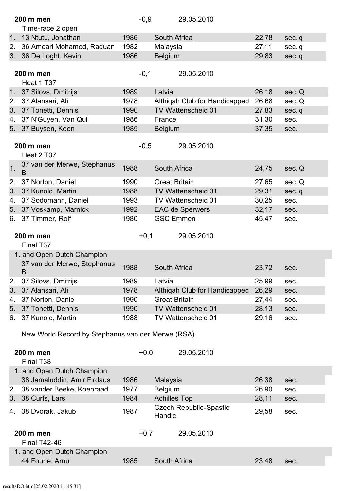|                | 200 m men                                         | $-0,9$ |                      | 29.05.2010                    |       |        |
|----------------|---------------------------------------------------|--------|----------------------|-------------------------------|-------|--------|
|                | Time-race 2 open                                  |        |                      |                               |       |        |
| 1.             | 13 Ntutu, Jonathan                                | 1986   | South Africa         |                               | 22,78 | sec.q  |
| 2.             | 36 Ameari Mohamed, Raduan                         | 1982   | Malaysia             |                               | 27,11 | sec.q  |
| 3.             | 36 De Loght, Kevin                                | 1986   | <b>Belgium</b>       |                               | 29,83 | sec.q  |
|                |                                                   |        |                      |                               |       |        |
|                | 200 m men                                         | $-0,1$ |                      | 29.05.2010                    |       |        |
|                | Heat 1 T37                                        |        |                      |                               |       |        |
| 1 <sub>1</sub> | 37 Silovs, Dmitrijs                               | 1989   | Latvia               |                               | 26,18 | sec. Q |
| 2.             | 37 Alansari, Ali                                  | 1978   |                      | Althiqah Club for Handicapped | 26,68 | sec. Q |
| 3.             | 37 Tonetti, Dennis                                | 1990   |                      | TV Wattenscheid 01            | 27,83 | sec.q  |
| 4.             | 37 N'Guyen, Van Qui                               | 1986   | France               |                               | 31,30 | sec.   |
| 5.             | 37 Buysen, Koen                                   | 1985   | <b>Belgium</b>       |                               | 37,35 | sec.   |
|                |                                                   |        |                      |                               |       |        |
|                | <b>200 m men</b>                                  | $-0,5$ |                      | 29.05.2010                    |       |        |
|                | Heat 2 T37                                        |        |                      |                               |       |        |
| 1.             | 37 van der Merwe, Stephanus<br>B.                 | 1988   | <b>South Africa</b>  |                               | 24,75 | sec. Q |
| 2.             | 37 Norton, Daniel                                 | 1990   | <b>Great Britain</b> |                               | 27,65 | sec. Q |
| 3.             | 37 Kunold, Martin                                 | 1988   |                      | TV Wattenscheid 01            | 29,31 | sec.q  |
| 4.             | 37 Sodomann, Daniel                               | 1993   |                      | TV Wattenscheid 01            | 30,25 | sec.   |
| 5.             | 37 Voskamp, Marnick                               | 1992   |                      | <b>EAC de Sperwers</b>        | 32,17 | sec.   |
| 6.             | 37 Timmer, Rolf                                   | 1980   | <b>GSC Emmen</b>     |                               | 45,47 | sec.   |
|                |                                                   |        |                      |                               |       |        |
|                | 200 m men                                         | $+0,1$ |                      | 29.05.2010                    |       |        |
|                | Final T37                                         |        |                      |                               |       |        |
|                | 1. and Open Dutch Champion                        |        |                      |                               |       |        |
|                | 37 van der Merwe, Stephanus                       | 1988   | <b>South Africa</b>  |                               | 23,72 |        |
|                | <b>B.</b>                                         |        |                      |                               |       | sec.   |
| 2.             | 37 Silovs, Dmitrijs                               | 1989   | Latvia               |                               | 25,99 | sec.   |
| 3.             | 37 Alansari, Ali                                  | 1978   |                      | Althiqah Club for Handicapped | 26,29 | sec.   |
| 4.             | 37 Norton, Daniel                                 | 1990   | <b>Great Britain</b> |                               | 27,44 | sec.   |
| 5.             | 37 Tonetti, Dennis                                | 1990   |                      | TV Wattenscheid 01            | 28,13 | sec.   |
| 6.             | 37 Kunold, Martin                                 | 1988   |                      | TV Wattenscheid 01            | 29,16 | sec.   |
|                |                                                   |        |                      |                               |       |        |
|                | New World Record by Stephanus van der Merwe (RSA) |        |                      |                               |       |        |
|                | 200 m men                                         | $+0,0$ |                      | 29.05.2010                    |       |        |
|                | Final T <sub>38</sub>                             |        |                      |                               |       |        |
|                | 1. and Open Dutch Champion                        |        |                      |                               |       |        |
|                | 38 Jamaluddin, Amir Firdaus                       | 1986   |                      |                               |       |        |
|                | 38 vander Beeke, Koenraad                         | 1977   | Malaysia             |                               | 26,38 | sec.   |
| 2.             |                                                   |        | Belgium              |                               | 26,90 | sec.   |
| 3.             | 38 Curfs, Lars                                    | 1984   | <b>Achilles Top</b>  |                               | 28,11 | sec.   |
| 4.             | 38 Dvorak, Jakub                                  | 1987   |                      | <b>Czech Republic-Spastic</b> | 29,58 | sec.   |
|                |                                                   |        | Handic.              |                               |       |        |
|                | 200 m men                                         | $+0,7$ |                      | 29.05.2010                    |       |        |
|                | <b>Final T42-46</b>                               |        |                      |                               |       |        |
|                | 1. and Open Dutch Champion                        |        |                      |                               |       |        |
|                | 44 Fourie, Arnu                                   | 1985   | South Africa         |                               | 23,48 |        |
|                |                                                   |        |                      |                               |       | sec.   |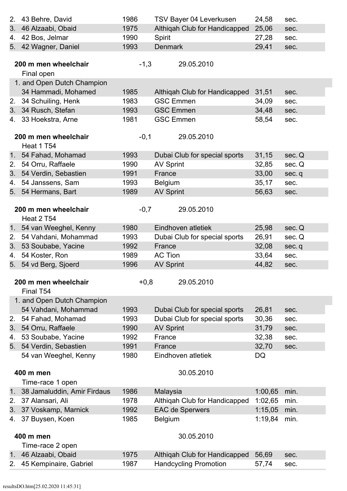| 2.             | 43 Behre, David             | 1986   | TSV Bayer 04 Leverkusen       | 24,58   | sec.   |
|----------------|-----------------------------|--------|-------------------------------|---------|--------|
| 3.             | 46 Alzaabi, Obaid           | 1975   | Althigah Club for Handicapped | 25,06   | sec.   |
| 4.             | 42 Bos, Jelmar              | 1990   | Spirit                        | 27,28   | sec.   |
|                | 5. 42 Wagner, Daniel        | 1993   | <b>Denmark</b>                | 29,41   | sec.   |
|                |                             |        |                               |         |        |
|                | 200 m men wheelchair        | $-1,3$ | 29.05.2010                    |         |        |
|                | Final open                  |        |                               |         |        |
|                | 1. and Open Dutch Champion  |        |                               |         |        |
|                | 34 Hammadi, Mohamed         | 1985   | Althigah Club for Handicapped | 31,51   | sec.   |
| 2.             | 34 Schuiling, Henk          | 1983   | <b>GSC Emmen</b>              | 34,09   | sec.   |
| 3.             | 34 Rusch, Stefan            | 1993   | <b>GSC Emmen</b>              | 34,48   | sec.   |
| 4.             | 33 Hoekstra, Arne           | 1981   | <b>GSC Emmen</b>              | 58,54   | sec.   |
|                |                             |        |                               |         |        |
|                | 200 m men wheelchair        | $-0,1$ | 29.05.2010                    |         |        |
|                | Heat 1 T54                  |        |                               |         |        |
|                | 1. 54 Fahad, Mohamad        | 1993   | Dubai Club for special sports | 31,15   | sec. Q |
| 2.             | 54 Orru, Raffaele           | 1990   | <b>AV Sprint</b>              | 32,85   | sec. Q |
| 3.             | 54 Verdin, Sebastien        | 1991   | France                        | 33,00   | sec.q  |
| 4.             | 54 Janssens, Sam            | 1993   | <b>Belgium</b>                | 35,17   | sec.   |
| 5.             | 54 Hermans, Bart            | 1989   | <b>AV Sprint</b>              | 56,63   | sec.   |
|                |                             |        |                               |         |        |
|                | 200 m men wheelchair        | $-0,7$ | 29.05.2010                    |         |        |
|                | Heat 2 T54                  |        |                               |         |        |
| 1 <sub>1</sub> | 54 van Weeghel, Kenny       | 1980   | Eindhoven atletiek            | 25,98   | sec. Q |
| 2.             | 54 Vahdani, Mohammad        | 1993   | Dubai Club for special sports | 26,91   | sec. Q |
| 3.             | 53 Soubabe, Yacine          | 1992   | France                        | 32,08   | sec.q  |
| 4.             | 54 Koster, Ron              | 1989   | <b>AC Tion</b>                | 33,64   | sec.   |
| 5.             | 54 vd Berg, Sjoerd          | 1996   | <b>AV Sprint</b>              | 44,82   | sec.   |
|                |                             |        |                               |         |        |
|                | 200 m men wheelchair        | $+0,8$ | 29.05.2010                    |         |        |
|                | Final T54                   |        |                               |         |        |
|                | 1. and Open Dutch Champion  |        |                               |         |        |
|                | 54 Vahdani, Mohammad        | 1993   | Dubai Club for special sports | 26,81   | sec.   |
| 2.             | 54 Fahad, Mohamad           | 1993   | Dubai Club for special sports | 30,36   | sec.   |
| 3.             | 54 Orru, Raffaele           | 1990   | <b>AV Sprint</b>              | 31,79   | sec.   |
| 4.             | 53 Soubabe, Yacine          | 1992   | France                        | 32,38   | sec.   |
| 5.             | 54 Verdin, Sebastien        | 1991   | France                        | 32,70   | sec.   |
|                | 54 van Weeghel, Kenny       | 1980   | Eindhoven atletiek            | DQ      |        |
|                |                             |        |                               |         |        |
|                | 400 m men                   |        | 30.05.2010                    |         |        |
|                | Time-race 1 open            |        |                               |         |        |
| 1 <sub>1</sub> | 38 Jamaluddin, Amir Firdaus | 1986   | Malaysia                      | 1:00,65 | min.   |
| 2.             | 37 Alansari, Ali            | 1978   | Althiqah Club for Handicapped | 1:02,65 | min.   |
| 3.             | 37 Voskamp, Marnick         | 1992   | <b>EAC de Sperwers</b>        | 1:15,05 | min.   |
| 4.             | 37 Buysen, Koen             | 1985   | <b>Belgium</b>                | 1:19,84 | min.   |
|                |                             |        |                               |         |        |
|                | 400 m men                   |        | 30.05.2010                    |         |        |
|                | Time-race 2 open            |        |                               |         |        |
| 1 <sub>1</sub> | 46 Alzaabi, Obaid           | 1975   | Althiqah Club for Handicapped | 56,69   | sec.   |
| 2.             | 45 Kempinaire, Gabriel      | 1987   | <b>Handcycling Promotion</b>  | 57,74   | sec.   |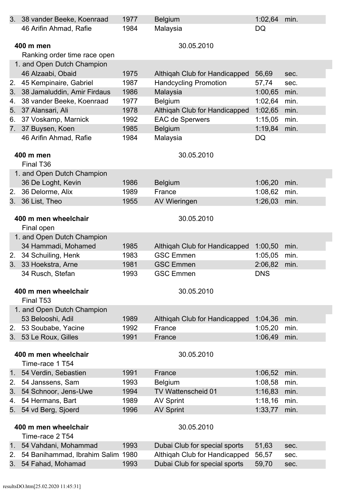|    | 3. 38 vander Beeke, Koenraad      | 1977 | <b>Belgium</b>                | 1:02,64    | min. |
|----|-----------------------------------|------|-------------------------------|------------|------|
|    | 46 Arifin Ahmad, Rafie            | 1984 | Malaysia                      | <b>DQ</b>  |      |
|    |                                   |      |                               |            |      |
|    | 400 m men                         |      | 30.05.2010                    |            |      |
|    | Ranking order time race open      |      |                               |            |      |
|    | 1. and Open Dutch Champion        |      |                               |            |      |
|    | 46 Alzaabi, Obaid                 | 1975 | Althigah Club for Handicapped | 56,69      | sec. |
| 2. | 45 Kempinaire, Gabriel            | 1987 | <b>Handcycling Promotion</b>  | 57,74      | sec. |
| 3. | 38 Jamaluddin, Amir Firdaus       | 1986 | Malaysia                      | 1:00,65    | min. |
| 4. | 38 vander Beeke, Koenraad         | 1977 | <b>Belgium</b>                | 1:02,64    | min. |
| 5. | 37 Alansari, Ali                  | 1978 | Althiqah Club for Handicapped | 1:02,65    | min. |
| 6. | 37 Voskamp, Marnick               | 1992 | <b>EAC de Sperwers</b>        | 1:15,05    | min. |
| 7. | 37 Buysen, Koen                   | 1985 | <b>Belgium</b>                | 1:19,84    | min. |
|    | 46 Arifin Ahmad, Rafie            | 1984 | Malaysia                      | DQ         |      |
|    |                                   |      |                               |            |      |
|    | 400 m men                         |      | 30.05.2010                    |            |      |
|    | Final T <sub>36</sub>             |      |                               |            |      |
|    | 1. and Open Dutch Champion        |      |                               |            |      |
|    | 36 De Loght, Kevin                | 1986 | <b>Belgium</b>                | 1:06,20    | min. |
| 2. | 36 Delorme, Alix                  | 1989 | France                        | 1:08,62    | min. |
|    | 3. 36 List, Theo                  | 1955 | <b>AV Wieringen</b>           | 1:26,03    | min. |
|    |                                   |      |                               |            |      |
|    | 400 m men wheelchair              |      | 30.05.2010                    |            |      |
|    | Final open                        |      |                               |            |      |
|    | 1. and Open Dutch Champion        |      |                               |            |      |
|    | 34 Hammadi, Mohamed               | 1985 | Althigah Club for Handicapped | 1:00,50    | min. |
| 2. | 34 Schuiling, Henk                | 1983 | <b>GSC Emmen</b>              | 1:05,05    | min. |
|    |                                   |      |                               |            |      |
| 3. | 33 Hoekstra, Arne                 | 1981 | <b>GSC Emmen</b>              | 2:06,82    | min. |
|    | 34 Rusch, Stefan                  | 1993 | <b>GSC Emmen</b>              | <b>DNS</b> |      |
|    |                                   |      |                               |            |      |
|    | 400 m men wheelchair              |      | 30.05.2010                    |            |      |
|    | Final T53                         |      |                               |            |      |
|    | 1. and Open Dutch Champion        |      |                               |            |      |
|    | 53 Belooshi, Adil                 | 1989 | Althigah Club for Handicapped | 1:04,36    | min. |
| 2. | 53 Soubabe, Yacine                | 1992 | France                        | 1:05,20    | min. |
|    | 3. 53 Le Roux, Gilles             | 1991 | France                        | 1:06,49    | min. |
|    |                                   |      |                               |            |      |
|    | 400 m men wheelchair              |      | 30.05.2010                    |            |      |
|    | Time-race 1 T54                   |      |                               |            |      |
|    | 1. 54 Verdin, Sebastien           | 1991 | France                        | 1:06,52    | min. |
| 2. | 54 Janssens, Sam                  | 1993 | <b>Belgium</b>                | 1:08,58    | min. |
| 3. | 54 Schnoor, Jens-Uwe              | 1994 | <b>TV Wattenscheid 01</b>     | 1:16,83    | min. |
| 4. | 54 Hermans, Bart                  | 1989 | <b>AV Sprint</b>              | 1:18,16    | min. |
|    | 5. 54 vd Berg, Sjoerd             | 1996 | <b>AV Sprint</b>              | 1:33,77    | min. |
|    |                                   |      |                               |            |      |
|    | 400 m men wheelchair              |      | 30.05.2010                    |            |      |
|    | Time-race 2 T54                   |      |                               |            |      |
|    | 1. 54 Vahdani, Mohammad           | 1993 | Dubai Club for special sports | 51,63      | sec. |
| 2. | 54 Banihammad, Ibrahim Salim 1980 |      | Althiqah Club for Handicapped | 56,57      | sec. |
|    | 3. 54 Fahad, Mohamad              | 1993 | Dubai Club for special sports | 59,70      | sec. |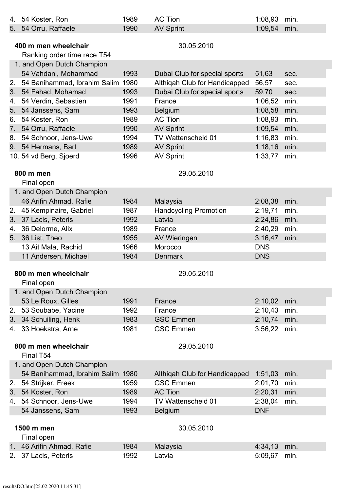| 4.             | 54 Koster, Ron                          | 1989 | <b>AC Tion</b>                                    | 1:08,93    | min. |
|----------------|-----------------------------------------|------|---------------------------------------------------|------------|------|
| 5.             | 54 Orru, Raffaele                       | 1990 | <b>AV Sprint</b>                                  | 1:09,54    | min. |
|                |                                         |      |                                                   |            |      |
|                | 400 m men wheelchair                    |      | 30.05.2010                                        |            |      |
|                | Ranking order time race T54             |      |                                                   |            |      |
|                | 1. and Open Dutch Champion              |      |                                                   |            |      |
|                | 54 Vahdani, Mohammad                    | 1993 | Dubai Club for special sports                     | 51,63      | sec. |
| 2.             | 54 Banihammad, Ibrahim Salim 1980       |      | Althiqah Club for Handicapped                     | 56,57      | sec. |
| 3.             | 54 Fahad, Mohamad                       | 1993 | Dubai Club for special sports                     | 59,70      | sec. |
| 4.             | 54 Verdin, Sebastien                    | 1991 | France                                            | 1:06,52    | min. |
| 5.             | 54 Janssens, Sam                        | 1993 | <b>Belgium</b>                                    | 1:08,58    | min. |
| 6.             | 54 Koster, Ron                          | 1989 | <b>AC Tion</b>                                    | 1:08,93    | min. |
| 7 <sub>1</sub> | 54 Orru, Raffaele                       | 1990 | <b>AV Sprint</b>                                  | 1:09,54    | min. |
| 8.             | 54 Schnoor, Jens-Uwe                    | 1994 | TV Wattenscheid 01                                | 1:16,83    | min. |
|                | 9. 54 Hermans, Bart                     | 1989 | <b>AV Sprint</b>                                  | 1:18,16    | min. |
|                | 10. 54 vd Berg, Sjoerd                  | 1996 | <b>AV Sprint</b>                                  | 1:33,77    | min. |
|                |                                         |      |                                                   |            |      |
|                | 800 m men                               |      | 29.05.2010                                        |            |      |
|                | Final open                              |      |                                                   |            |      |
|                | 1. and Open Dutch Champion              |      |                                                   |            |      |
|                | 46 Arifin Ahmad, Rafie                  | 1984 | Malaysia                                          | 2:08,38    | min. |
| 2.             | 45 Kempinaire, Gabriel                  | 1987 | <b>Handcycling Promotion</b>                      | 2:19,71    | min. |
| 3.             | 37 Lacis, Peteris                       | 1992 | Latvia                                            | 2:24,86    | min. |
| 4.             | 36 Delorme, Alix                        | 1989 | France                                            | 2:40,29    | min. |
| 5.             | 36 List, Theo                           | 1955 | <b>AV Wieringen</b>                               | 3:16,47    | min. |
|                | 13 Ait Mala, Rachid                     | 1966 | Morocco                                           | <b>DNS</b> |      |
|                | 11 Andersen, Michael                    | 1984 | <b>Denmark</b>                                    | <b>DNS</b> |      |
|                |                                         |      |                                                   |            |      |
|                | 800 m men wheelchair                    |      | 29.05.2010                                        |            |      |
|                | Final open                              |      |                                                   |            |      |
|                | 1. and Open Dutch Champion              |      |                                                   |            |      |
|                | 53 Le Roux, Gilles                      | 1991 | France                                            | 2:10,02    | min. |
| 2.             | 53 Soubabe, Yacine                      | 1992 | France                                            | 2:10,43    | min. |
| 3.             | 34 Schuiling, Henk                      | 1983 | <b>GSC Emmen</b>                                  | 2:10,74    | min. |
|                | 4. 33 Hoekstra, Arne                    | 1981 | <b>GSC Emmen</b>                                  | 3:56,22    | min. |
|                | 800 m men wheelchair                    |      |                                                   |            |      |
|                |                                         |      | 29.05.2010                                        |            |      |
|                | Final T54                               |      |                                                   |            |      |
|                | 1. and Open Dutch Champion              |      |                                                   |            |      |
|                | 54 Banihammad, Ibrahim Salim 1980       |      | Althigah Club for Handicapped<br><b>GSC Emmen</b> | 1:51,03    | min. |
| 2.             | 54 Strijker, Freek                      | 1959 |                                                   | 2:01,70    | min. |
| 3.             | 54 Koster, Ron                          | 1989 | <b>AC Tion</b>                                    | 2:20,31    | min. |
| 4.             | 54 Schnoor, Jens-Uwe                    | 1994 | TV Wattenscheid 01                                | 2:38,04    | min. |
|                | 54 Janssens, Sam                        | 1993 | <b>Belgium</b>                                    | <b>DNF</b> |      |
|                | 1500 m men                              |      | 30.05.2010                                        |            |      |
|                |                                         |      |                                                   |            |      |
|                | Final open<br>1. 46 Arifin Ahmad, Rafie | 1984 | Malaysia                                          | 4:34,13    | min. |
|                | 2. 37 Lacis, Peteris                    | 1992 | Latvia                                            | 5:09,67    | min. |
|                |                                         |      |                                                   |            |      |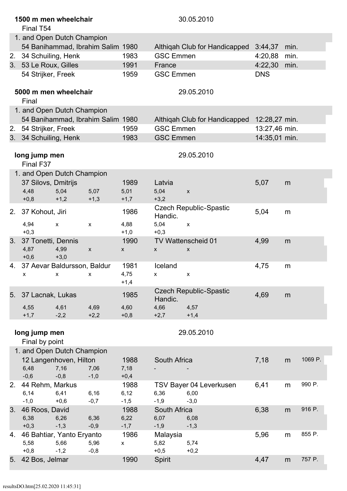|    | 1500 m men wheelchair<br>Final T54   |                                   |                |                        |                  | 30.05.2010                                  |               |      |         |
|----|--------------------------------------|-----------------------------------|----------------|------------------------|------------------|---------------------------------------------|---------------|------|---------|
|    | 1. and Open Dutch Champion           |                                   |                |                        |                  |                                             |               |      |         |
|    |                                      | 54 Banihammad, Ibrahim Salim 1980 |                |                        |                  | Althigah Club for Handicapped               | 3:44,37       | min. |         |
| 2. | 34 Schuiling, Henk                   |                                   |                | 1983                   | <b>GSC Emmen</b> |                                             | 4:20,88       | min. |         |
|    | 3. 53 Le Roux, Gilles                |                                   |                | 1991                   | France           |                                             | 4:22,30       | min. |         |
|    | 54 Strijker, Freek                   |                                   |                | 1959                   | <b>GSC Emmen</b> |                                             | <b>DNS</b>    |      |         |
|    | 5000 m men wheelchair<br>Final       |                                   |                |                        |                  | 29.05.2010                                  |               |      |         |
|    | 1. and Open Dutch Champion           |                                   |                |                        |                  |                                             |               |      |         |
|    |                                      | 54 Banihammad, Ibrahim Salim 1980 |                |                        |                  | Althiqah Club for Handicapped 12:28,27 min. |               |      |         |
| 2. | 54 Strijker, Freek                   |                                   |                | 1959                   | <b>GSC Emmen</b> |                                             | 13:27,46 min. |      |         |
| 3. | 34 Schuiling, Henk                   |                                   |                | 1983                   | <b>GSC Emmen</b> |                                             | 14:35,01 min. |      |         |
|    | long jump men<br>Final F37           |                                   |                |                        |                  | 29.05.2010                                  |               |      |         |
|    | 1. and Open Dutch Champion           |                                   |                |                        |                  |                                             |               |      |         |
|    | 37 Silovs, Dmitrijs                  |                                   |                | 1989                   | Latvia           |                                             | 5,07          | m    |         |
|    | 4,48                                 | 5,04                              | 5,07           | 5,01                   | 5,04             | $\pmb{\mathsf{X}}$                          |               |      |         |
|    | $+0,8$                               | $+1,2$                            | $+1,3$         | $+1,7$                 | $+3,2$           |                                             |               |      |         |
| 2. | 37 Kohout, Jiri                      |                                   |                | 1986                   | Handic.          | <b>Czech Republic-Spastic</b>               | 5,04          | m    |         |
|    | 4,94<br>$+0,3$                       | $\pmb{\mathsf{x}}$                | $\pmb{\chi}$   | 4,88<br>$+1,0$         | 5,04<br>$+0,3$   | $\pmb{\mathsf{x}}$                          |               |      |         |
| 3. | 37 Tonetti, Dennis<br>4,87<br>$+0,6$ | 4,99<br>$+3,0$                    | X              | 1990<br>X              | X                | TV Wattenscheid 01<br>X                     | 4,99          | m    |         |
| 4. | 37 Aevar Baldursson, Baldur          | $X$ x $X$                         |                | 1981<br>4,75<br>$+1,4$ | Iceland          | X                                           | 4,75          | m    |         |
| 5. | 37 Lacnak, Lukas                     |                                   |                | 1985                   | Handic.          | <b>Czech Republic-Spastic</b>               | 4,69          | m    |         |
|    | 4,55<br>$+1,7$                       | 4,61<br>$-2,2$                    | 4,69<br>$+2,2$ | 4,60<br>$+0,8$         | 4,66<br>$+2,7$   | 4,57<br>$+1,4$                              |               |      |         |
|    | long jump men<br>Final by point      |                                   |                |                        |                  | 29.05.2010                                  |               |      |         |
|    | 1. and Open Dutch Champion           |                                   |                |                        |                  |                                             |               |      |         |
|    |                                      | 12 Langenhoven, Hilton            |                | 1988                   | South Africa     |                                             | 7,18          | m    | 1069 P. |
|    | 6,48                                 | 7,16                              | 7,06           | 7,18                   |                  |                                             |               |      |         |
|    | $-0,6$                               | $-0,8$                            | $-1,0$         | $+0,4$                 |                  |                                             |               |      |         |
| 2. | 44 Rehm, Markus                      |                                   |                | 1988                   |                  | TSV Bayer 04 Leverkusen                     | 6,41          | m    | 990 P.  |
|    | 6,14                                 | 6,41                              | 6,16           | 6,12                   | 6,36             | 6,00                                        |               |      |         |
|    | $-1,0$                               | $+0,6$                            | $-0,7$         | $-1,5$                 | $-1,9$           | $-3,0$                                      |               |      | 916 P.  |
| 3. | 46 Roos, David                       |                                   |                | 1988                   | South Africa     |                                             | 6,38          | m    |         |
|    | 6,38<br>$+0,3$                       | 6,26<br>$-1,3$                    | 6,36<br>$-0,9$ | 6,22<br>$-1,7$         | 6,07<br>$-1,9$   | 6,08<br>$-1,3$                              |               |      |         |
| 4. | 46 Bahtiar, Yanto Eryanto            |                                   |                | 1986                   | Malaysia         |                                             | 5,96          | m    | 855 P.  |
|    | 5,58                                 | 5,66                              | 5,96           | $\pmb{\mathsf{X}}$     | 5,82             | 5,74                                        |               |      |         |
|    | $+0,8$                               | $-1,2$                            | $-0,8$         |                        | $+0,5$           | $+0,2$                                      |               |      |         |
| 5. | 42 Bos, Jelmar                       |                                   |                | 1990                   | Spirit           |                                             | 4,47          | m    | 757 P.  |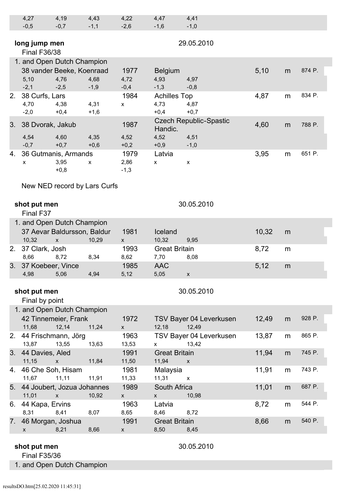|                                                                                               | 4,27<br>$-0,5$                                                                                                                                                                                                                                                                                                                                                                                                                                                                                                                                                                                                                                                                                                                                                                                                                                                                                                                                                                                                                                                                                                                                                                                                                                                                                                                                                                                                                                                                                                                                                                                                                                                                                                                                                                                                                                                                                                                                                                                                                                                                                                                                                                                                                                                                                                                                                   | 4,19<br>$-0,7$ | 4,43<br>$-1,1$ | 4,22<br>$-2,6$ | 4,47<br>$-1,6$ | 4,41<br>$-1,0$ |  |  |
|-----------------------------------------------------------------------------------------------|------------------------------------------------------------------------------------------------------------------------------------------------------------------------------------------------------------------------------------------------------------------------------------------------------------------------------------------------------------------------------------------------------------------------------------------------------------------------------------------------------------------------------------------------------------------------------------------------------------------------------------------------------------------------------------------------------------------------------------------------------------------------------------------------------------------------------------------------------------------------------------------------------------------------------------------------------------------------------------------------------------------------------------------------------------------------------------------------------------------------------------------------------------------------------------------------------------------------------------------------------------------------------------------------------------------------------------------------------------------------------------------------------------------------------------------------------------------------------------------------------------------------------------------------------------------------------------------------------------------------------------------------------------------------------------------------------------------------------------------------------------------------------------------------------------------------------------------------------------------------------------------------------------------------------------------------------------------------------------------------------------------------------------------------------------------------------------------------------------------------------------------------------------------------------------------------------------------------------------------------------------------------------------------------------------------------------------------------------------------|----------------|----------------|----------------|----------------|----------------|--|--|
|                                                                                               | 29.05.2010<br>long jump men<br><b>Final F36/38</b><br>1. and Open Dutch Champion<br>874 P.<br>38 vander Beeke, Koenraad<br>1977<br>5,10<br><b>Belgium</b><br>m<br>5,10<br>4,76<br>4,68<br>4,72<br>4,93<br>4,97<br>$-2,5$<br>$-2,1$<br>$-1,9$<br>$-0,4$<br>$-1,3$<br>$-0,8$<br>834 P.<br>1984<br>4,87<br>38 Curfs, Lars<br><b>Achilles Top</b><br>m<br>4,38<br>4,31<br>4,73<br>4,87<br>4,70<br>$\pmb{\mathsf{X}}$<br>$-2,0$<br>$+0,4$<br>$+0,7$<br>$+0,4$<br>$+1,6$<br><b>Czech Republic-Spastic</b><br>1987<br>4,60<br>788 P.<br>38 Dvorak, Jakub<br>m<br>Handic.<br>4,60<br>4,35<br>4,52<br>4,51<br>4,54<br>4,52<br>$-0,7$<br>$+0,7$<br>$+0,6$<br>$+0,9$<br>$+0,2$<br>$-1,0$<br>651 P.<br>3,95<br>36 Gutmanis, Armands<br>1979<br>Latvia<br>m<br>3,95<br>2,86<br>$\pmb{\mathsf{X}}$<br>$\pmb{\chi}$<br>X<br>$\pmb{\mathsf{X}}$<br>$+0,8$<br>$-1,3$<br>New NED record by Lars Curfs<br>30.05.2010<br>shot put men<br>Final F37<br>1. and Open Dutch Champion<br>37 Aevar Baldursson, Baldur<br>1981<br>10,32<br>Iceland<br>m<br>10,32<br>10,29<br>10,32<br>9,95<br>$\pmb{\mathsf{x}}$<br>$\pmb{\mathsf{X}}$<br>37 Clark, Josh<br>1993<br><b>Great Britain</b><br>8,72<br>m<br>8,72<br>8,34<br>8,66<br>8,62<br>7,70<br>8,08<br>37 Koebeer, Vince<br>1985<br><b>AAC</b><br>5,12<br>m<br>5,12<br>5,05<br>4,98<br>4,94<br>5,06<br>$\mathsf{x}$<br>30.05.2010<br>shot put men<br>Final by point<br>1. and Open Dutch Champion<br>928 P.<br>42 Tinnemeier, Frank<br>1972<br>12,49<br>TSV Bayer 04 Leverkusen<br>m<br>11,68<br>11,24<br>12,49<br>12,14<br>12,18<br>$\mathsf{X}$<br>865 P.<br>13,87<br>44 Frischmann, Jörg<br>1963<br>TSV Bayer 04 Leverkusen<br>m<br>13,55<br>13,63<br>13,42<br>13,87<br>13,53<br>$\mathsf{X}^-$<br>745 P.<br>1991<br>11,94<br><b>Great Britain</b><br>m<br>11,15<br>11,84<br>11,50<br>11,94<br>$\mathsf{X}$<br>$\mathsf{x}$<br>743 P.<br>46 Che Soh, Hisam<br>1981<br>Malaysia<br>11,91<br>m<br>11,11<br>11,33<br>11,31<br>11,67<br>11,91<br>$\mathbf{X}$<br>687 P.<br>1989<br>South Africa<br>11,01<br>m<br>11,01<br>10,92<br>10,98<br>$\mathsf{x}$<br><b>X</b><br><b>X</b><br>544 P.<br>1963<br>8,72<br>6. 44 Kapa, Ervins<br>Latvia<br>m<br>8,41<br>8,31<br>8,65<br>8,46<br>8,72<br>8,07<br>540 P.<br>7. 46 Morgan, Joshua<br>8,66<br>1991<br><b>Great Britain</b><br>m<br>8,21<br>8,66<br>8,50<br>8,45<br>$\mathsf{X}$<br><b>X</b> |                |                |                |                |                |  |  |
|                                                                                               |                                                                                                                                                                                                                                                                                                                                                                                                                                                                                                                                                                                                                                                                                                                                                                                                                                                                                                                                                                                                                                                                                                                                                                                                                                                                                                                                                                                                                                                                                                                                                                                                                                                                                                                                                                                                                                                                                                                                                                                                                                                                                                                                                                                                                                                                                                                                                                  |                |                |                |                |                |  |  |
|                                                                                               |                                                                                                                                                                                                                                                                                                                                                                                                                                                                                                                                                                                                                                                                                                                                                                                                                                                                                                                                                                                                                                                                                                                                                                                                                                                                                                                                                                                                                                                                                                                                                                                                                                                                                                                                                                                                                                                                                                                                                                                                                                                                                                                                                                                                                                                                                                                                                                  |                |                |                |                |                |  |  |
| 2.<br>3.<br>4.<br>2.<br>3.<br>2.<br>3. 44 Davies, Aled<br>4.<br>5. 44 Joubert, Jozua Johannes |                                                                                                                                                                                                                                                                                                                                                                                                                                                                                                                                                                                                                                                                                                                                                                                                                                                                                                                                                                                                                                                                                                                                                                                                                                                                                                                                                                                                                                                                                                                                                                                                                                                                                                                                                                                                                                                                                                                                                                                                                                                                                                                                                                                                                                                                                                                                                                  |                |                |                |                |                |  |  |
|                                                                                               |                                                                                                                                                                                                                                                                                                                                                                                                                                                                                                                                                                                                                                                                                                                                                                                                                                                                                                                                                                                                                                                                                                                                                                                                                                                                                                                                                                                                                                                                                                                                                                                                                                                                                                                                                                                                                                                                                                                                                                                                                                                                                                                                                                                                                                                                                                                                                                  |                |                |                |                |                |  |  |
|                                                                                               |                                                                                                                                                                                                                                                                                                                                                                                                                                                                                                                                                                                                                                                                                                                                                                                                                                                                                                                                                                                                                                                                                                                                                                                                                                                                                                                                                                                                                                                                                                                                                                                                                                                                                                                                                                                                                                                                                                                                                                                                                                                                                                                                                                                                                                                                                                                                                                  |                |                |                |                |                |  |  |
|                                                                                               |                                                                                                                                                                                                                                                                                                                                                                                                                                                                                                                                                                                                                                                                                                                                                                                                                                                                                                                                                                                                                                                                                                                                                                                                                                                                                                                                                                                                                                                                                                                                                                                                                                                                                                                                                                                                                                                                                                                                                                                                                                                                                                                                                                                                                                                                                                                                                                  |                |                |                |                |                |  |  |
|                                                                                               |                                                                                                                                                                                                                                                                                                                                                                                                                                                                                                                                                                                                                                                                                                                                                                                                                                                                                                                                                                                                                                                                                                                                                                                                                                                                                                                                                                                                                                                                                                                                                                                                                                                                                                                                                                                                                                                                                                                                                                                                                                                                                                                                                                                                                                                                                                                                                                  |                |                |                |                |                |  |  |
|                                                                                               |                                                                                                                                                                                                                                                                                                                                                                                                                                                                                                                                                                                                                                                                                                                                                                                                                                                                                                                                                                                                                                                                                                                                                                                                                                                                                                                                                                                                                                                                                                                                                                                                                                                                                                                                                                                                                                                                                                                                                                                                                                                                                                                                                                                                                                                                                                                                                                  |                |                |                |                |                |  |  |
|                                                                                               |                                                                                                                                                                                                                                                                                                                                                                                                                                                                                                                                                                                                                                                                                                                                                                                                                                                                                                                                                                                                                                                                                                                                                                                                                                                                                                                                                                                                                                                                                                                                                                                                                                                                                                                                                                                                                                                                                                                                                                                                                                                                                                                                                                                                                                                                                                                                                                  |                |                |                |                |                |  |  |
|                                                                                               |                                                                                                                                                                                                                                                                                                                                                                                                                                                                                                                                                                                                                                                                                                                                                                                                                                                                                                                                                                                                                                                                                                                                                                                                                                                                                                                                                                                                                                                                                                                                                                                                                                                                                                                                                                                                                                                                                                                                                                                                                                                                                                                                                                                                                                                                                                                                                                  |                |                |                |                |                |  |  |
|                                                                                               |                                                                                                                                                                                                                                                                                                                                                                                                                                                                                                                                                                                                                                                                                                                                                                                                                                                                                                                                                                                                                                                                                                                                                                                                                                                                                                                                                                                                                                                                                                                                                                                                                                                                                                                                                                                                                                                                                                                                                                                                                                                                                                                                                                                                                                                                                                                                                                  |                |                |                |                |                |  |  |
|                                                                                               |                                                                                                                                                                                                                                                                                                                                                                                                                                                                                                                                                                                                                                                                                                                                                                                                                                                                                                                                                                                                                                                                                                                                                                                                                                                                                                                                                                                                                                                                                                                                                                                                                                                                                                                                                                                                                                                                                                                                                                                                                                                                                                                                                                                                                                                                                                                                                                  |                |                |                |                |                |  |  |
|                                                                                               |                                                                                                                                                                                                                                                                                                                                                                                                                                                                                                                                                                                                                                                                                                                                                                                                                                                                                                                                                                                                                                                                                                                                                                                                                                                                                                                                                                                                                                                                                                                                                                                                                                                                                                                                                                                                                                                                                                                                                                                                                                                                                                                                                                                                                                                                                                                                                                  |                |                |                |                |                |  |  |
|                                                                                               |                                                                                                                                                                                                                                                                                                                                                                                                                                                                                                                                                                                                                                                                                                                                                                                                                                                                                                                                                                                                                                                                                                                                                                                                                                                                                                                                                                                                                                                                                                                                                                                                                                                                                                                                                                                                                                                                                                                                                                                                                                                                                                                                                                                                                                                                                                                                                                  |                |                |                |                |                |  |  |
|                                                                                               |                                                                                                                                                                                                                                                                                                                                                                                                                                                                                                                                                                                                                                                                                                                                                                                                                                                                                                                                                                                                                                                                                                                                                                                                                                                                                                                                                                                                                                                                                                                                                                                                                                                                                                                                                                                                                                                                                                                                                                                                                                                                                                                                                                                                                                                                                                                                                                  |                |                |                |                |                |  |  |
|                                                                                               |                                                                                                                                                                                                                                                                                                                                                                                                                                                                                                                                                                                                                                                                                                                                                                                                                                                                                                                                                                                                                                                                                                                                                                                                                                                                                                                                                                                                                                                                                                                                                                                                                                                                                                                                                                                                                                                                                                                                                                                                                                                                                                                                                                                                                                                                                                                                                                  |                |                |                |                |                |  |  |
|                                                                                               |                                                                                                                                                                                                                                                                                                                                                                                                                                                                                                                                                                                                                                                                                                                                                                                                                                                                                                                                                                                                                                                                                                                                                                                                                                                                                                                                                                                                                                                                                                                                                                                                                                                                                                                                                                                                                                                                                                                                                                                                                                                                                                                                                                                                                                                                                                                                                                  |                |                |                |                |                |  |  |
|                                                                                               |                                                                                                                                                                                                                                                                                                                                                                                                                                                                                                                                                                                                                                                                                                                                                                                                                                                                                                                                                                                                                                                                                                                                                                                                                                                                                                                                                                                                                                                                                                                                                                                                                                                                                                                                                                                                                                                                                                                                                                                                                                                                                                                                                                                                                                                                                                                                                                  |                |                |                |                |                |  |  |
|                                                                                               |                                                                                                                                                                                                                                                                                                                                                                                                                                                                                                                                                                                                                                                                                                                                                                                                                                                                                                                                                                                                                                                                                                                                                                                                                                                                                                                                                                                                                                                                                                                                                                                                                                                                                                                                                                                                                                                                                                                                                                                                                                                                                                                                                                                                                                                                                                                                                                  |                |                |                |                |                |  |  |
|                                                                                               |                                                                                                                                                                                                                                                                                                                                                                                                                                                                                                                                                                                                                                                                                                                                                                                                                                                                                                                                                                                                                                                                                                                                                                                                                                                                                                                                                                                                                                                                                                                                                                                                                                                                                                                                                                                                                                                                                                                                                                                                                                                                                                                                                                                                                                                                                                                                                                  |                |                |                |                |                |  |  |
|                                                                                               |                                                                                                                                                                                                                                                                                                                                                                                                                                                                                                                                                                                                                                                                                                                                                                                                                                                                                                                                                                                                                                                                                                                                                                                                                                                                                                                                                                                                                                                                                                                                                                                                                                                                                                                                                                                                                                                                                                                                                                                                                                                                                                                                                                                                                                                                                                                                                                  |                |                |                |                |                |  |  |
|                                                                                               |                                                                                                                                                                                                                                                                                                                                                                                                                                                                                                                                                                                                                                                                                                                                                                                                                                                                                                                                                                                                                                                                                                                                                                                                                                                                                                                                                                                                                                                                                                                                                                                                                                                                                                                                                                                                                                                                                                                                                                                                                                                                                                                                                                                                                                                                                                                                                                  |                |                |                |                |                |  |  |
|                                                                                               |                                                                                                                                                                                                                                                                                                                                                                                                                                                                                                                                                                                                                                                                                                                                                                                                                                                                                                                                                                                                                                                                                                                                                                                                                                                                                                                                                                                                                                                                                                                                                                                                                                                                                                                                                                                                                                                                                                                                                                                                                                                                                                                                                                                                                                                                                                                                                                  |                |                |                |                |                |  |  |
|                                                                                               |                                                                                                                                                                                                                                                                                                                                                                                                                                                                                                                                                                                                                                                                                                                                                                                                                                                                                                                                                                                                                                                                                                                                                                                                                                                                                                                                                                                                                                                                                                                                                                                                                                                                                                                                                                                                                                                                                                                                                                                                                                                                                                                                                                                                                                                                                                                                                                  |                |                |                |                |                |  |  |
|                                                                                               |                                                                                                                                                                                                                                                                                                                                                                                                                                                                                                                                                                                                                                                                                                                                                                                                                                                                                                                                                                                                                                                                                                                                                                                                                                                                                                                                                                                                                                                                                                                                                                                                                                                                                                                                                                                                                                                                                                                                                                                                                                                                                                                                                                                                                                                                                                                                                                  |                |                |                |                |                |  |  |
|                                                                                               |                                                                                                                                                                                                                                                                                                                                                                                                                                                                                                                                                                                                                                                                                                                                                                                                                                                                                                                                                                                                                                                                                                                                                                                                                                                                                                                                                                                                                                                                                                                                                                                                                                                                                                                                                                                                                                                                                                                                                                                                                                                                                                                                                                                                                                                                                                                                                                  |                |                |                |                |                |  |  |
|                                                                                               |                                                                                                                                                                                                                                                                                                                                                                                                                                                                                                                                                                                                                                                                                                                                                                                                                                                                                                                                                                                                                                                                                                                                                                                                                                                                                                                                                                                                                                                                                                                                                                                                                                                                                                                                                                                                                                                                                                                                                                                                                                                                                                                                                                                                                                                                                                                                                                  |                |                |                |                |                |  |  |
|                                                                                               |                                                                                                                                                                                                                                                                                                                                                                                                                                                                                                                                                                                                                                                                                                                                                                                                                                                                                                                                                                                                                                                                                                                                                                                                                                                                                                                                                                                                                                                                                                                                                                                                                                                                                                                                                                                                                                                                                                                                                                                                                                                                                                                                                                                                                                                                                                                                                                  |                |                |                |                |                |  |  |
|                                                                                               |                                                                                                                                                                                                                                                                                                                                                                                                                                                                                                                                                                                                                                                                                                                                                                                                                                                                                                                                                                                                                                                                                                                                                                                                                                                                                                                                                                                                                                                                                                                                                                                                                                                                                                                                                                                                                                                                                                                                                                                                                                                                                                                                                                                                                                                                                                                                                                  |                |                |                |                |                |  |  |
|                                                                                               |                                                                                                                                                                                                                                                                                                                                                                                                                                                                                                                                                                                                                                                                                                                                                                                                                                                                                                                                                                                                                                                                                                                                                                                                                                                                                                                                                                                                                                                                                                                                                                                                                                                                                                                                                                                                                                                                                                                                                                                                                                                                                                                                                                                                                                                                                                                                                                  |                |                |                |                |                |  |  |
|                                                                                               | shot put men                                                                                                                                                                                                                                                                                                                                                                                                                                                                                                                                                                                                                                                                                                                                                                                                                                                                                                                                                                                                                                                                                                                                                                                                                                                                                                                                                                                                                                                                                                                                                                                                                                                                                                                                                                                                                                                                                                                                                                                                                                                                                                                                                                                                                                                                                                                                                     |                |                |                |                | 30.05.2010     |  |  |

Final F35/36

1. and Open Dutch Champion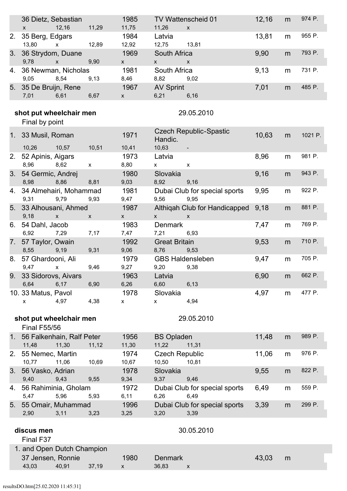|                | 36 Dietz, Sebastian                            |                               |              | 1985                   |                                                                            | TV Wattenscheid 01                                 | 12,16 | m         | 974 P.  |
|----------------|------------------------------------------------|-------------------------------|--------------|------------------------|----------------------------------------------------------------------------|----------------------------------------------------|-------|-----------|---------|
| 2.             | 12,16<br>$\mathsf{x}$<br>35 Berg, Edgars       |                               | 11,29        | 11,75<br>1984          | 11,26<br>Latvia                                                            | $\mathsf{x}$                                       | 13,81 | m         | 955 P.  |
|                | 13,80                                          | x 12,89                       |              | 12,92                  | 12,75 13,81                                                                |                                                    |       |           |         |
| 3.             | 36 Strydom, Duane                              |                               |              | 1969                   | South Africa                                                               |                                                    | 9,90  | m         | 793 P.  |
| 4.             | 9,78<br>36 Newman, Nicholas                    | $\mathsf{x}$                  | 9,90         | $\mathsf{X}$<br>1981   | $\mathsf{X}^-$<br>South Africa                                             | $\mathsf{x}$                                       | 9,13  | m         | 731 P.  |
|                | 9,05                                           | 8,54                          | 9,13         | 8,46                   | 8,82                                                                       | 9,02                                               |       |           |         |
|                | 5. 35 De Bruijn, Rene                          |                               |              | 1967                   | <b>AV Sprint</b>                                                           |                                                    | 7,01  | m         | 485 P.  |
|                | 7,01                                           | 6,61                          | 6,67         | $\mathsf{X}$           | 6,21                                                                       | 6,16                                               |       |           |         |
|                | shot put wheelchair men                        |                               |              |                        |                                                                            | 29.05.2010                                         |       |           |         |
|                | Final by point                                 |                               |              |                        |                                                                            |                                                    |       |           |         |
|                | 1. 33 Musil, Roman                             |                               |              | 1971                   | Handic.                                                                    | <b>Czech Republic-Spastic</b>                      | 10,63 | m         | 1021 P. |
|                | 10,26                                          | 10,57                         | 10,51        | 10,41                  | 10,63                                                                      | $\blacksquare$                                     |       |           |         |
|                | 2. 52 Apinis, Aigars<br>8,96 8,62              | $\mathsf{X}$                  |              | 1973<br>8,80           | Latvia<br>$\mathsf{X}^-$                                                   | $\mathsf{x}$                                       | 8,96  | m         | 981 P.  |
| 3.             | 54 Germic, Andrej<br>8,98                      | 8,86                          | 8,81         | 1980<br>9,03           | Slovakia<br>8,92 9,16                                                      |                                                    | 9,16  | m         | 943 P.  |
|                | 4. 34 Almehairi, Mohammad                      |                               |              | 1981                   |                                                                            | Dubai Club for special sports                      | 9,95  | m         | 922 P.  |
|                | 9,31 9,79                                      |                               | 9,93         | 9,47                   | 9,56                                                                       | 9,95                                               |       |           |         |
|                | 5. 33 Alhousani, Ahmed<br>9,18                 | $\mathsf{X}$ and $\mathsf{X}$ | $\mathsf{x}$ | 1987<br>$\mathsf{X}^-$ | $\mathsf{X}$ and $\mathsf{X}$ and $\mathsf{X}$ are the set of $\mathsf{X}$ | Althiqah Club for Handicapped 9,18<br>$\mathsf{X}$ |       | m         | 881 P.  |
|                | 6. 54 Dahl, Jacob                              |                               |              | 1983                   | Denmark                                                                    |                                                    | 7,47  | m         | 769 P.  |
|                | 6,92 7,29                                      |                               | 7,17         | 7,47                   | 7,21                                                                       | 6,93                                               |       |           |         |
|                | 7. 57 Taylor, Owain<br>8,55                    | 9,19                          | 9,31         | 1992<br>9,06           | <b>Great Britain</b><br>8,76                                               | 9,53                                               | 9,53  | m         | 710 P.  |
|                | 8. 57 Ghardooni, Ali                           |                               |              | 1979                   |                                                                            | <b>GBS Haldensleben</b>                            | 9,47  | m         | 705 P.  |
|                | 9,47<br>9. 33 Sidorovs, Aivars                 | $\mathsf{x}$                  | 9,46         | 9,27<br>1963           | 9,20 9,38<br>Latvia                                                        |                                                    | 6,90  | ${\sf m}$ | 662 P.  |
|                | 6,64                                           | 6,17                          | 6,90         | 6,26                   | 6,60                                                                       | 6,13                                               |       |           |         |
|                | 10. 33 Matus, Pavol                            |                               |              | 1978                   | Slovakia                                                                   |                                                    | 4,97  | m         | 477 P.  |
|                | X                                              | 4,97                          | 4,38         | $\pmb{\mathsf{X}}$     | x                                                                          | 4,94                                               |       |           |         |
|                | shot put wheelchair men<br><b>Final F55/56</b> |                               |              |                        |                                                                            | 29.05.2010                                         |       |           |         |
| 1 <sub>1</sub> | 56 Falkenhain, Ralf Peter<br>11,48             | 11,30                         | 11,12        | 1956<br>11,30          | <b>BS Opladen</b><br>11,22                                                 | 11,31                                              | 11,48 | m         | 989 P.  |
| 2.             | 55 Nemec, Martin<br>10,77                      | 11,06                         | 10,69        | 1974<br>10,67          | <b>Czech Republic</b><br>10,50                                             | 10,81                                              | 11,06 | m         | 976 P.  |
| 3.             | 56 Vasko, Adrian                               |                               |              | 1978                   | Slovakia                                                                   |                                                    | 9,55  | m         | 822 P.  |
|                | 9,40                                           | 9,43                          | 9,55         | 9,34                   | 9,37                                                                       | 9,46                                               |       |           |         |
| 4.             | 56 Rahiminia, Gholam<br>5,47                   | 5,96                          | 5,93         | 1972<br>6,11           | 6,26                                                                       | Dubai Club for special sports<br>6,49              | 6,49  | m         | 559 P.  |
| 5.             | 55 Omair, Muhammad<br>2,90                     | 3,11                          | 3,23         | 1996<br>3,25           | 3,20                                                                       | Dubai Club for special sports<br>3,39              | 3,39  | m         | 299 P.  |
|                |                                                |                               |              |                        |                                                                            |                                                    |       |           |         |
|                | discus men<br>Final F37                        |                               |              |                        |                                                                            | 30.05.2010                                         |       |           |         |
|                | 1. and Open Dutch Champion                     |                               |              |                        |                                                                            |                                                    |       |           |         |
|                | 37 Jensen, Ronnie<br>43,03                     | 40,91                         | 37,19        | 1980<br>$\mathsf{X}$   | <b>Denmark</b><br>36,83                                                    | X                                                  | 43,03 | m         |         |
|                |                                                |                               |              |                        |                                                                            |                                                    |       |           |         |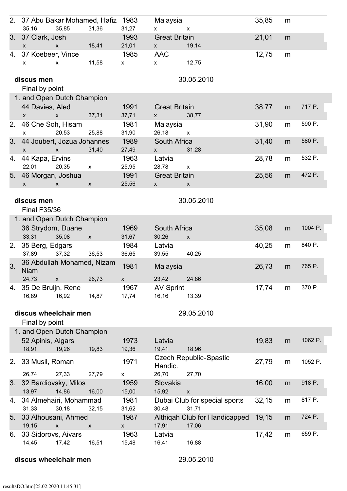|                                                                                                                                                                                                                                                                                                                                                                                                                                                                                                                                                                                                                                                                                                                                                                    | 2. 37 Abu Bakar Mohamed, Hafiz<br>35,16                  | 35,85              | 31,36                     | 1983<br>31,27                     | Malaysia<br>$\mathsf{X}^-$                            | X                                      | 35,85 | m |         |  |
|--------------------------------------------------------------------------------------------------------------------------------------------------------------------------------------------------------------------------------------------------------------------------------------------------------------------------------------------------------------------------------------------------------------------------------------------------------------------------------------------------------------------------------------------------------------------------------------------------------------------------------------------------------------------------------------------------------------------------------------------------------------------|----------------------------------------------------------|--------------------|---------------------------|-----------------------------------|-------------------------------------------------------|----------------------------------------|-------|---|---------|--|
| 3.                                                                                                                                                                                                                                                                                                                                                                                                                                                                                                                                                                                                                                                                                                                                                                 | 37 Clark, Josh<br>$\mathsf{x}$                           | $\mathsf{X}$       | 18,41                     | 1993<br>21,01                     | <b>Great Britain</b><br>$\mathsf{X}$ and $\mathsf{X}$ | 19,14                                  | 21,01 | m |         |  |
| 4.                                                                                                                                                                                                                                                                                                                                                                                                                                                                                                                                                                                                                                                                                                                                                                 | 37 Koebeer, Vince<br>X                                   | $\mathsf{x}$       | 11,58                     | 1985<br>$\mathsf{X}$              | <b>AAC</b><br>$\mathsf{x}$                            | 12,75                                  | 12,75 | m |         |  |
| 30.05.2010<br>discus men<br>Final by point<br>1. and Open Dutch Champion<br>44 Davies, Aled<br>717 P.<br>1991<br><b>Great Britain</b><br>38,77<br>m<br>37,31<br>37,71<br>38,77<br>$\mathsf{x}$<br>$\mathsf{X}$<br>$\mathsf{X}$<br>590 P.<br>46 Che Soh, Hisam<br>1981<br>Malaysia<br>31,90<br>2.<br>m<br>25,88<br>31,90<br>26,18<br>20,53<br>$\mathsf{x}$<br>$\mathsf{x}$<br>44 Joubert, Jozua Johannes<br>South Africa<br>580 P.<br>1989<br>31,40<br>3.<br>m<br>31,40<br>27,49<br>31,28<br>$\mathsf{X}$<br>$\mathsf{x}$<br>$\mathsf{X}$<br>532 P.<br>1963<br>28,78<br>44 Kapa, Ervins<br>Latvia<br>4.<br>m<br>22,01<br>20,35<br>25,95<br>28,78<br>$\mathsf{x}$<br>$\mathsf{x}$<br>46 Morgan, Joshua<br>472 P.<br>1991<br><b>Great Britain</b><br>25,56<br>5.<br>m |                                                          |                    |                           |                                   |                                                       |                                        |       |   |         |  |
|                                                                                                                                                                                                                                                                                                                                                                                                                                                                                                                                                                                                                                                                                                                                                                    |                                                          |                    |                           |                                   |                                                       |                                        |       |   |         |  |
|                                                                                                                                                                                                                                                                                                                                                                                                                                                                                                                                                                                                                                                                                                                                                                    |                                                          |                    |                           |                                   |                                                       |                                        |       |   |         |  |
|                                                                                                                                                                                                                                                                                                                                                                                                                                                                                                                                                                                                                                                                                                                                                                    |                                                          |                    |                           |                                   |                                                       |                                        |       |   |         |  |
|                                                                                                                                                                                                                                                                                                                                                                                                                                                                                                                                                                                                                                                                                                                                                                    |                                                          |                    |                           |                                   |                                                       |                                        |       |   |         |  |
|                                                                                                                                                                                                                                                                                                                                                                                                                                                                                                                                                                                                                                                                                                                                                                    | X                                                        | X                  | $\boldsymbol{\mathsf{x}}$ | 25,56                             | $\mathsf{x}$                                          | X                                      |       |   |         |  |
| 30.05.2010<br>discus men<br><b>Final F35/36</b><br>1. and Open Dutch Champion                                                                                                                                                                                                                                                                                                                                                                                                                                                                                                                                                                                                                                                                                      |                                                          |                    |                           |                                   |                                                       |                                        |       |   |         |  |
|                                                                                                                                                                                                                                                                                                                                                                                                                                                                                                                                                                                                                                                                                                                                                                    | 36 Strydom, Duane<br>33,31                               | 35,08              | $\mathsf X$               | 1969<br>31,67                     | South Africa<br>30,26                                 | $\mathsf{x}$                           | 35,08 | m | 1004 P. |  |
| 2.                                                                                                                                                                                                                                                                                                                                                                                                                                                                                                                                                                                                                                                                                                                                                                 | 35 Berg, Edgars<br>37,89                                 | 37,32              | 36,53                     | 1984<br>36,65                     | Latvia<br>39,55                                       | 40,25                                  | 40,25 | m | 840 P.  |  |
| 3.                                                                                                                                                                                                                                                                                                                                                                                                                                                                                                                                                                                                                                                                                                                                                                 | 36 Abdullah Mohamed, Nizam<br><b>Niam</b><br>24,73       | $\pmb{\mathsf{x}}$ | 26,73                     | 1981<br>$\mathsf{x}$              | Malaysia<br>23,42                                     | 24,86                                  | 26,73 | m | 765 P.  |  |
| 4.                                                                                                                                                                                                                                                                                                                                                                                                                                                                                                                                                                                                                                                                                                                                                                 | 35 De Bruijn, Rene<br>16,89                              | 16,92              | 14,87                     | 1967<br>17,74                     | <b>AV Sprint</b><br>16,16                             | 13,39                                  | 17,74 | m | 370 P.  |  |
|                                                                                                                                                                                                                                                                                                                                                                                                                                                                                                                                                                                                                                                                                                                                                                    | discus wheelchair men<br>Final by point                  |                    |                           |                                   |                                                       | 29.05.2010                             |       |   |         |  |
|                                                                                                                                                                                                                                                                                                                                                                                                                                                                                                                                                                                                                                                                                                                                                                    | 1. and Open Dutch Champion<br>52 Apinis, Aigars<br>18,91 | 19,26              | 19,83                     | 1973<br>19,36                     | Latvia<br>19,41                                       | 18,96                                  | 19,83 | m | 1062 P. |  |
| 2.                                                                                                                                                                                                                                                                                                                                                                                                                                                                                                                                                                                                                                                                                                                                                                 | 33 Musil, Roman                                          |                    |                           | 1971                              | Handic.                                               | <b>Czech Republic-Spastic</b>          | 27,79 | m | 1052 P. |  |
| 3.                                                                                                                                                                                                                                                                                                                                                                                                                                                                                                                                                                                                                                                                                                                                                                 | 26,74<br>32 Bardiovsky, Milos<br>13,97                   | 27,33<br>14,86     | 27,79<br>16,00            | X<br>1959<br>15,00                | 26,70<br>Slovakia<br>15,92                            | 27,70<br>$\mathsf{x}$                  | 16,00 | m | 918 P.  |  |
| 4.                                                                                                                                                                                                                                                                                                                                                                                                                                                                                                                                                                                                                                                                                                                                                                 | 34 Almehairi, Mohammad<br>31,33                          | 30,18              | 32,15                     | 1981<br>31,62                     | 30,48                                                 | Dubai Club for special sports<br>31,71 | 32,15 | m | 817 P.  |  |
| 5.                                                                                                                                                                                                                                                                                                                                                                                                                                                                                                                                                                                                                                                                                                                                                                 | 33 Alhousani, Ahmed<br>19,15                             | $\pmb{\times}$     | $\pmb{\mathsf{X}}$        | 1987<br>$\boldsymbol{\mathsf{X}}$ | 17,91                                                 | Althiqah Club for Handicapped<br>17,06 | 19,15 | m | 724 P.  |  |
| 6.                                                                                                                                                                                                                                                                                                                                                                                                                                                                                                                                                                                                                                                                                                                                                                 | 33 Sidorovs, Aivars<br>14,45                             | 17,42              | 16,51                     | 1963<br>15,48                     | Latvia<br>16,41                                       | 16,88                                  | 17,42 | m | 659 P.  |  |

discus wheelchair men 29.05.2010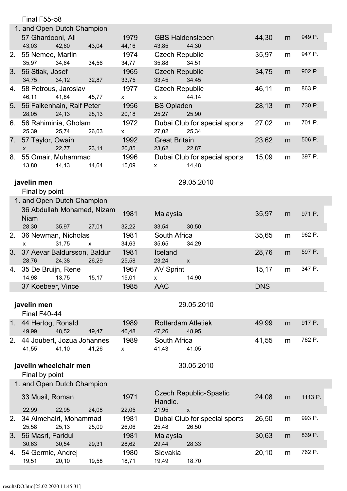|                | <b>Final F55-58</b>                           |              |                            |                                                        |            |   |         |  |  |
|----------------|-----------------------------------------------|--------------|----------------------------|--------------------------------------------------------|------------|---|---------|--|--|
|                | 1. and Open Dutch Champion                    |              |                            |                                                        |            |   |         |  |  |
|                | 57 Ghardooni, Ali<br>43,03<br>42,60           | 43,04        | 1979<br>44,16              | <b>GBS Haldensleben</b><br>43,85<br>44,30              | 44,30      | m | 949 P.  |  |  |
| 2.             | 55 Nemec, Martin<br>34,64<br>35,97            | 34,56        | 1974<br>34,77              | <b>Czech Republic</b><br>34,51<br>35,88                | 35,97      | m | 947 P.  |  |  |
| 3.             | 56 Stiak, Josef<br>34,12<br>34,75             | 32,87        | 1965<br>33,75              | <b>Czech Republic</b><br>34,45<br>33,45                | 34,75      | m | 902 P.  |  |  |
| 4.             | 58 Petrous, Jaroslav<br>46,11<br>41,84        | 45,77        | 1977<br>$\mathsf{X}^-$     | <b>Czech Republic</b><br>44,14<br>$\mathsf{X}^-$       | 46,11      | m | 863 P.  |  |  |
| 5.             | 56 Falkenhain, Ralf Peter<br>28,05<br>24,13   | 28,13        | 1956<br>20,18              | <b>BS Opladen</b><br>25,27<br>25,90                    | 28,13      | m | 730 P.  |  |  |
| 6.             | 56 Rahiminia, Gholam<br>25,39<br>25,74        | 26,03        | 1972<br>$\mathsf{X}$       | Dubai Club for special sports<br>27,02<br>25,34        | 27,02      | m | 701 P.  |  |  |
| 7.             | 57 Taylor, Owain<br>22,77<br>$\mathsf{x}$     | 23,11        | 1992<br>20,85              | <b>Great Britain</b><br>23,62<br>22,87                 | 23,62      | m | 506 P.  |  |  |
| 8.             | 55 Omair, Muhammad<br>13,80<br>14,13          | 14,64        | 1996<br>15,09              | Dubai Club for special sports<br>14,48<br>$\mathsf{x}$ | 15,09      | m | 397 P.  |  |  |
|                | javelin men<br>Final by point                 |              |                            | 29.05.2010                                             |            |   |         |  |  |
|                | 1. and Open Dutch Champion                    |              |                            |                                                        |            |   |         |  |  |
|                | 36 Abdullah Mohamed, Nizam<br><b>Niam</b>     |              | 1981                       | Malaysia                                               | 35,97      | m | 971 P.  |  |  |
|                | 28,30<br>35,97                                | 27,01        | 32,22                      | 33,54<br>30,50                                         |            |   |         |  |  |
| 2.             | 36 Newman, Nicholas<br>31,75<br>$\mathsf{x}$  | $\mathsf{x}$ | 1981<br>34,63              | South Africa<br>35,65<br>34,29                         | 35,65      | m | 962 P.  |  |  |
| 3.             | 37 Aevar Baldursson, Baldur<br>28,76<br>24,38 | 26,29        | 1981<br>25,58              | Iceland<br>23,24<br>$\pmb{\mathsf{X}}$                 | 28,76      | m | 597 P.  |  |  |
|                | 4. 35 De Bruijn, Rene<br>14,98<br>13,75       | 15,17        | 1967<br>15,01              | <b>AV Sprint</b><br>$\pmb{\mathsf{X}}$<br>14,90        | 15,17      | m | 347 P.  |  |  |
|                | 37 Koebeer, Vince                             |              | 1985                       | <b>AAC</b>                                             | <b>DNS</b> |   |         |  |  |
|                | javelin men<br>Final F40-44                   |              |                            | 29.05.2010                                             |            |   |         |  |  |
| 1 <sub>1</sub> | 44 Hertog, Ronald<br>48,52<br>49,99           | 49,47        | 1989<br>46,48              | <b>Rotterdam Atletiek</b><br>47,26<br>48,95            | 49,99      | m | 917 P.  |  |  |
| 2.             | 44 Joubert, Jozua Johannes<br>41,10<br>41,55  | 41,26        | 1989<br>$\pmb{\mathsf{X}}$ | South Africa<br>41,43<br>41,05                         | 41,55      | m | 762 P.  |  |  |
|                | javelin wheelchair men<br>Final by point      |              |                            | 30.05.2010                                             |            |   |         |  |  |
|                | 1. and Open Dutch Champion                    |              |                            |                                                        |            |   |         |  |  |
|                | 33 Musil, Roman                               |              | 1971                       | <b>Czech Republic-Spastic</b><br>Handic.               | 24,08      | m | 1113 P. |  |  |
|                | 22,99<br>22,95                                | 24,08        | 22,05                      | 21,95<br>$\pmb{\mathsf{x}}$                            |            |   |         |  |  |
| 2.             | 34 Almehairi, Mohammad<br>25,58<br>25,13      | 25,09        | 1981<br>26,06              | Dubai Club for special sports<br>25,48<br>26,50        | 26,50      | m | 993 P.  |  |  |
| 3.             | 56 Masri, Faridul<br>30,63<br>30,54           | 29,31        | 1981<br>28,62              | Malaysia<br>29,44<br>28,33                             | 30,63      | m | 839 P.  |  |  |
| 4.             | 54 Germic, Andrej<br>19,51<br>20,10           | 19,58        | 1980<br>18,71              | Slovakia<br>19,49<br>18,70                             | 20,10      | m | 762 P.  |  |  |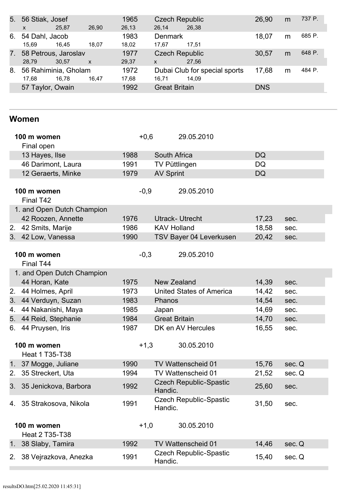|    | 5. 56 Stiak, Josef<br>$\mathsf{x}$ | 25,87                         | 26,90        | 1965<br>26,13 | <b>Czech Republic</b><br>26.14        | 26,38                                  | 26,90      | m | 737 P. |
|----|------------------------------------|-------------------------------|--------------|---------------|---------------------------------------|----------------------------------------|------------|---|--------|
| 6. | 54 Dahl, Jacob<br>15,69            | 16,45                         | 18.07        | 1983<br>18,02 | <b>Denmark</b><br>17.67               | 17.51                                  | 18,07      | m | 685 P. |
| 7. | 28.79                              | 58 Petrous, Jaroslav<br>30.57 | $\mathsf{X}$ | 1977<br>29,37 | <b>Czech Republic</b><br>$\mathsf{x}$ | 27,56                                  | 30,57      | m | 648 P. |
| 8. | 17.68                              | 56 Rahiminia, Gholam<br>16.78 | 16.47        | 1972<br>17,68 | 16.71                                 | Dubai Club for special sports<br>14,09 | 17,68      | m | 484 P. |
|    | 57 Taylor, Owain                   |                               |              | 1992          | <b>Great Britain</b>                  |                                        | <b>DNS</b> |   |        |

### **Women**

| 100 m women                          |                                      | $+0,6$ |                      | 29.05.2010                      |           |        |
|--------------------------------------|--------------------------------------|--------|----------------------|---------------------------------|-----------|--------|
| Final open                           |                                      |        |                      |                                 |           |        |
|                                      | 13 Hayes, Ilse                       | 1988   | South Africa         |                                 | <b>DQ</b> |        |
|                                      | 46 Darimont, Laura                   | 1991   | <b>TV Püttlingen</b> |                                 | DQ        |        |
|                                      | 12 Geraerts, Minke                   | 1979   | <b>AV Sprint</b>     |                                 | DQ        |        |
|                                      | 100 m women                          | $-0,9$ |                      | 29.05.2010                      |           |        |
|                                      | Final T42                            |        |                      |                                 |           |        |
|                                      | 1. and Open Dutch Champion           |        |                      |                                 |           |        |
|                                      | 42 Roozen, Annette                   | 1976   |                      | <b>Utrack- Utrecht</b>          | 17,23     | sec.   |
| 2.                                   | 42 Smits, Marije                     | 1986   | <b>KAV Holland</b>   |                                 | 18,58     | sec.   |
|                                      | 3. 42 Low, Vanessa                   | 1990   |                      | TSV Bayer 04 Leverkusen         | 20,42     | sec.   |
|                                      | 100 m women<br>Final T44             | $-0,3$ |                      | 29.05.2010                      |           |        |
|                                      | 1. and Open Dutch Champion           |        |                      |                                 |           |        |
|                                      | 44 Horan, Kate                       | 1975   | New Zealand          |                                 | 14,39     | sec.   |
| 2.                                   | 44 Holmes, April                     | 1973   |                      | <b>United States of America</b> | 14,42     | sec.   |
| 3.                                   | 44 Verduyn, Suzan                    | 1983   | Phanos               |                                 | 14,54     | sec.   |
| 4.                                   | 44 Nakanishi, Maya                   | 1985   | Japan                |                                 | 14,69     | sec.   |
| 5.                                   | 44 Reid, Stephanie                   | 1984   | <b>Great Britain</b> |                                 | 14,70     | sec.   |
| 6.                                   | 44 Pruysen, Iris                     | 1987   |                      | DK en AV Hercules               | 16,55     | sec.   |
| 100 m women<br><b>Heat 1 T35-T38</b> |                                      | $+1,3$ |                      | 30.05.2010                      |           |        |
| 1 <sub>1</sub>                       | 37 Mogge, Juliane                    | 1990   |                      | TV Wattenscheid 01              | 15,76     | sec. Q |
| 2.                                   | 35 Streckert, Uta                    | 1994   |                      | TV Wattenscheid 01              | 21,52     | sec. Q |
| 3.                                   | 35 Jenickova, Barbora                | 1992   | Handic.              | <b>Czech Republic-Spastic</b>   | 25,60     | sec.   |
| 4.                                   | 35 Strakosova, Nikola                | 1991   | Handic.              | <b>Czech Republic-Spastic</b>   | 31,50     | sec.   |
|                                      | 100 m women<br><b>Heat 2 T35-T38</b> | $+1,0$ |                      | 30.05.2010                      |           |        |
| 1 <sub>1</sub>                       | 38 Slaby, Tamira                     | 1992   |                      | <b>TV Wattenscheid 01</b>       | 14,46     | sec. Q |
| 2.                                   | 38 Vejrazkova, Anezka                | 1991   | Handic.              | <b>Czech Republic-Spastic</b>   | 15,40     | sec. Q |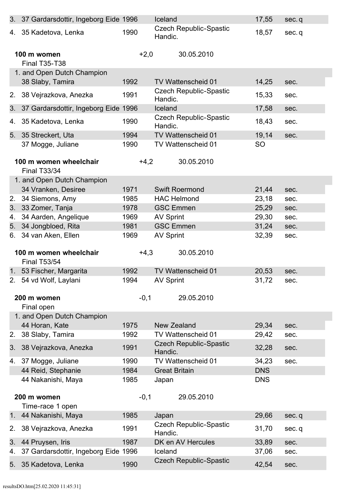|         | 3. 37 Gardarsdottir, Ingeborg Eide 1996                  |        | Iceland              |                               | 17,55          | sec.q        |
|---------|----------------------------------------------------------|--------|----------------------|-------------------------------|----------------|--------------|
|         | 4. 35 Kadetova, Lenka                                    | 1990   | Handic.              | <b>Czech Republic-Spastic</b> | 18,57          | sec.q        |
|         | 100 m women<br><b>Final T35-T38</b>                      | $+2,0$ |                      | 30.05.2010                    |                |              |
|         | 1. and Open Dutch Champion                               |        |                      |                               |                |              |
|         | 38 Slaby, Tamira                                         | 1992   |                      | <b>TV Wattenscheid 01</b>     | 14,25          | sec.         |
| 2.      | 38 Vejrazkova, Anezka                                    | 1991   | Handic.              | <b>Czech Republic-Spastic</b> | 15,33          | sec.         |
| 3.      | 37 Gardarsdottir, Ingeborg Eide 1996                     |        | Iceland              |                               | 17,58          | sec.         |
| 4.      | 35 Kadetova, Lenka                                       | 1990   | Handic.              | <b>Czech Republic-Spastic</b> | 18,43          | sec.         |
| 5.      | 35 Streckert, Uta                                        | 1994   |                      | <b>TV Wattenscheid 01</b>     | 19,14          | sec.         |
|         | 37 Mogge, Juliane                                        | 1990   |                      | TV Wattenscheid 01            | <b>SO</b>      |              |
|         |                                                          |        |                      |                               |                |              |
|         | 100 m women wheelchair<br><b>Final T33/34</b>            | $+4,2$ |                      | 30.05.2010                    |                |              |
|         | 1. and Open Dutch Champion                               |        |                      |                               |                |              |
|         | 34 Vranken, Desiree                                      | 1971   |                      | <b>Swift Roermond</b>         | 21,44          | sec.         |
| 2.      | 34 Siemons, Amy                                          | 1985   | <b>HAC Helmond</b>   |                               | 23,18          | sec.         |
| 3.      | 33 Zomer, Tanja                                          | 1978   | <b>GSC Emmen</b>     |                               | 25,29          | sec.         |
| 4.      | 34 Aarden, Angelique                                     | 1969   | <b>AV Sprint</b>     |                               | 29,30          | sec.         |
| 5.      | 34 Jongbloed, Rita                                       | 1981   | <b>GSC Emmen</b>     |                               | 31,24          | sec.         |
| 6.      | 34 van Aken, Ellen                                       | 1969   | <b>AV Sprint</b>     |                               | 32,39          | sec.         |
|         |                                                          |        |                      |                               |                |              |
|         | 100 m women wheelchair<br><b>Final T53/54</b>            | $+4,3$ |                      | 30.05.2010                    |                |              |
|         | 1. 53 Fischer, Margarita                                 | 1992   |                      | <b>TV Wattenscheid 01</b>     | 20,53          | sec.         |
|         | 2. 54 vd Wolf, Laylani                                   | 1994   | <b>AV Sprint</b>     |                               | 31,72          | sec.         |
|         |                                                          |        |                      |                               |                |              |
|         | 200 m women                                              | $-0,1$ |                      | 29.05.2010                    |                |              |
|         | Final open                                               |        |                      |                               |                |              |
|         | 1. and Open Dutch Champion                               |        |                      |                               |                |              |
|         | 44 Horan, Kate                                           | 1975   | New Zealand          | TV Wattenscheid 01            | 29,34          | sec.         |
| 2.      | 38 Slaby, Tamira                                         | 1992   |                      | <b>Czech Republic-Spastic</b> | 29,42          | sec.         |
| 3.      | 38 Vejrazkova, Anezka                                    | 1991   | Handic.              |                               | 32,28          | sec.         |
| 4.      | 37 Mogge, Juliane                                        | 1990   |                      | TV Wattenscheid 01            | 34,23          | sec.         |
|         | 44 Reid, Stephanie                                       | 1984   | <b>Great Britain</b> |                               | <b>DNS</b>     |              |
|         | 44 Nakanishi, Maya                                       | 1985   | Japan                |                               | <b>DNS</b>     |              |
|         | 200 m women                                              | $-0,1$ |                      | 29.05.2010                    |                |              |
|         | Time-race 1 open                                         |        |                      |                               |                |              |
| $1_{-}$ | 44 Nakanishi, Maya                                       | 1985   | Japan                |                               | 29,66          | sec.q        |
| 2.      | 38 Vejrazkova, Anezka                                    | 1991   | Handic.              | <b>Czech Republic-Spastic</b> | 31,70          | sec.q        |
| 3.      |                                                          |        |                      |                               |                |              |
|         |                                                          |        |                      |                               |                |              |
| 4.      | 44 Pruysen, Iris<br>37 Gardarsdottir, Ingeborg Eide 1996 | 1987   | Iceland              | DK en AV Hercules             | 33,89<br>37,06 | sec.<br>sec. |
| 5.      | 35 Kadetova, Lenka                                       | 1990   |                      | <b>Czech Republic-Spastic</b> | 42,54          | sec.         |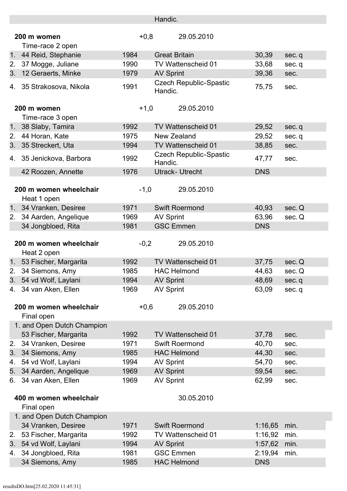|                |                                           |              | Handic.                                  |                    |              |
|----------------|-------------------------------------------|--------------|------------------------------------------|--------------------|--------------|
|                |                                           |              |                                          |                    |              |
|                | 200 m women                               | $+0,8$       | 29.05.2010                               |                    |              |
|                | Time-race 2 open                          |              |                                          |                    |              |
| 1 <sub>1</sub> | 44 Reid, Stephanie                        | 1984         | <b>Great Britain</b>                     | 30,39              | sec.q        |
| 2.             | 37 Mogge, Juliane                         | 1990         | TV Wattenscheid 01                       | 33,68              | sec.q        |
|                | 3. 12 Geraerts, Minke                     | 1979         | <b>AV Sprint</b>                         | 39,36              | sec.         |
| 4.             | 35 Strakosova, Nikola                     | 1991         | <b>Czech Republic-Spastic</b><br>Handic. | 75,75              | sec.         |
|                | 200 m women                               | $+1,0$       | 29.05.2010                               |                    |              |
|                | Time-race 3 open                          |              |                                          |                    |              |
| 1 <sub>1</sub> | 38 Slaby, Tamira                          | 1992         | <b>TV Wattenscheid 01</b>                | 29,52              | sec.q        |
| 2.             | 44 Horan, Kate                            | 1975         | <b>New Zealand</b>                       | 29,52              | sec.q        |
| 3.             | 35 Streckert, Uta                         | 1994         | TV Wattenscheid 01                       | 38,85              | sec.         |
| 4.             | 35 Jenickova, Barbora                     | 1992         | <b>Czech Republic-Spastic</b><br>Handic. | 47,77              | sec.         |
|                | 42 Roozen, Annette                        | 1976         | <b>Utrack- Utrecht</b>                   | <b>DNS</b>         |              |
|                |                                           |              |                                          |                    |              |
|                | 200 m women wheelchair<br>Heat 1 open     | $-1,0$       | 29.05.2010                               |                    |              |
| 1 <sub>1</sub> | 34 Vranken, Desiree                       | 1971         | <b>Swift Roermond</b>                    | 40,93              | sec. Q       |
| 2.             | 34 Aarden, Angelique                      | 1969         | <b>AV Sprint</b>                         | 63,96              | sec. Q       |
|                | 34 Jongbloed, Rita                        | 1981         | <b>GSC Emmen</b>                         | <b>DNS</b>         |              |
|                |                                           |              |                                          |                    |              |
|                | 200 m women wheelchair<br>Heat 2 open     | $-0,2$       | 29.05.2010                               |                    |              |
|                |                                           |              |                                          |                    |              |
|                | 1. 53 Fischer, Margarita                  | 1992         | TV Wattenscheid 01                       | 37,75              | sec. Q       |
|                | 34 Siemons, Amy                           | 1985         | <b>HAC Helmond</b>                       | 44,63              | sec. Q       |
|                | 3. 54 vd Wolf, Laylani                    | 1994         | <b>AV Sprint</b>                         | 48,69              | sec.q        |
|                | 4. 34 van Aken, Ellen                     | 1969         | <b>AV Sprint</b>                         | 63,09              | sec.q        |
|                |                                           |              |                                          |                    |              |
|                | 200 m women wheelchair                    | $+0,6$       | 29.05.2010                               |                    |              |
|                | Final open                                |              |                                          |                    |              |
|                | 1. and Open Dutch Champion                |              |                                          |                    |              |
|                | 53 Fischer, Margarita                     | 1992         | <b>TV Wattenscheid 01</b>                | 37,78              | sec.         |
| 2.             | 34 Vranken, Desiree                       | 1971         | <b>Swift Roermond</b>                    | 40,70              | sec.         |
| 3.             | 34 Siemons, Amy                           | 1985         | <b>HAC Helmond</b>                       | 44,30              | sec.         |
| 4.             | 54 vd Wolf, Laylani                       | 1994         | <b>AV Sprint</b>                         | 54,70              | sec.         |
| 5.             | 34 Aarden, Angelique                      | 1969         | <b>AV Sprint</b>                         | 59,54              | sec.         |
| 6.             | 34 van Aken, Ellen                        | 1969         | <b>AV Sprint</b>                         | 62,99              | sec.         |
|                | 400 m women wheelchair                    |              | 30.05.2010                               |                    |              |
|                | Final open                                |              |                                          |                    |              |
|                | 1. and Open Dutch Champion                |              | <b>Swift Roermond</b>                    |                    |              |
| 2.             | 34 Vranken, Desiree                       | 1971<br>1992 | TV Wattenscheid 01                       | 1:16,65            | min.<br>min. |
|                | 53 Fischer, Margarita                     |              |                                          | 1:16,92            |              |
| 3.<br>4.       | 54 vd Wolf, Laylani<br>34 Jongbloed, Rita | 1994<br>1981 | <b>AV Sprint</b><br><b>GSC Emmen</b>     | 1:57,62<br>2:19,94 | min.<br>min. |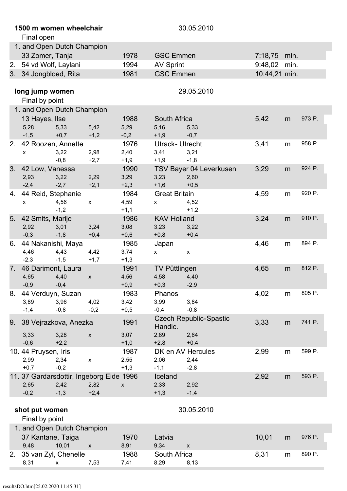|    | 1500 m women wheelchair<br>Final open    |                |                           |                        |                                          |                               |               |      |        |
|----|------------------------------------------|----------------|---------------------------|------------------------|------------------------------------------|-------------------------------|---------------|------|--------|
|    | 1. and Open Dutch Champion               |                |                           |                        |                                          |                               |               |      |        |
|    | 33 Zomer, Tanja                          |                |                           | 1978                   | <b>GSC Emmen</b>                         |                               | 7:18,75       | min. |        |
| 2. | 54 vd Wolf, Laylani                      |                |                           | 1994                   | <b>AV Sprint</b>                         |                               | 9:48,02       | min. |        |
|    | 3. 34 Jongbloed, Rita                    |                |                           | 1981                   | <b>GSC Emmen</b>                         |                               | 10:44,21 min. |      |        |
|    | long jump women<br>Final by point        |                |                           |                        |                                          | 29.05.2010                    |               |      |        |
|    | 1. and Open Dutch Champion               |                |                           |                        |                                          |                               |               |      |        |
|    | 13 Hayes, Ilse                           |                |                           | 1988                   | South Africa                             |                               | 5,42          | m    | 973 P. |
|    | 5,28                                     | 5,33           | 5,42                      | 5,29                   | 5,16                                     | 5,33                          |               |      |        |
|    | $-1,5$                                   | $+0,7$         | $+1,2$                    | $-0,2$                 | $+1,9$                                   | $-0,7$                        |               |      |        |
| 2. | 42 Roozen, Annette<br>X.                 | 3,22<br>$-0,8$ | 2,98<br>$+2,7$            | 1976<br>2,40<br>$+1,9$ | <b>Utrack- Utrecht</b><br>3,41<br>$+1,9$ | 3,21<br>$-1,8$                | 3,41          | m    | 958 P. |
| 3. | 42 Low, Vanessa                          |                |                           | 1990                   |                                          | TSV Bayer 04 Leverkusen       | 3,29          | m    | 924 P. |
|    | 2,93<br>$-2,4$                           | 3,22<br>$-2,7$ | 2,29<br>$+2,1$            | 3,29<br>$+2,3$         | 3,23<br>$+1,6$                           | 2,60<br>$+0,5$                |               |      |        |
| 4. | 44 Reid, Stephanie                       |                |                           | 1984                   | <b>Great Britain</b>                     |                               | 4,59          | m    | 920 P. |
|    | x                                        | 4,56<br>$-1,2$ | $\mathsf{x}$              | 4,59<br>$+1,1$         | X.                                       | 4,52<br>$+1,2$                |               |      |        |
| 5. | 42 Smits, Marije                         |                |                           | 1986                   | <b>KAV Holland</b>                       |                               | 3,24          | m    | 910 P. |
|    | 2,92                                     | 3,01           | 3,24                      | 3,08                   | 3,23                                     | 3,22                          |               |      |        |
|    | $-0,3$                                   | $-1,8$         | $+0,4$                    | $+0,6$                 | $+0,8$                                   | $+0,4$                        |               |      |        |
| 6. | 44 Nakanishi, Maya                       |                |                           | 1985                   | Japan                                    |                               | 4,46          | m    | 894 P. |
|    | 4,46                                     | 4,43           | 4,42                      | 3,74                   | X                                        | $\pmb{\mathsf{X}}$            |               |      |        |
|    | $-2,3$                                   | $-1,5$         | $+1,7$                    | $+1,3$                 |                                          |                               |               |      |        |
| 7. | 46 Darimont, Laura                       |                |                           | 1991                   | <b>TV Püttlingen</b>                     |                               | 4,65          | m    | 812 P. |
|    | 4,65<br>$-0,9$                           | 4,40<br>$-0,4$ | $\boldsymbol{\mathsf{X}}$ | 4,56<br>$+0,9$         | 4,58<br>$+0,3$                           | 4,40<br>$-2,9$                |               |      |        |
| 8. | 44 Verduyn, Suzan                        |                |                           | 1983                   | Phanos                                   |                               | 4,02          | m    | 805 P. |
|    | 3,89                                     | 3,96           | 4,02                      | 3,42                   | 3,99                                     | 3,84                          |               |      |        |
|    | $-1,4$                                   | $-0,8$         | $-0,2$                    | $+0,5$                 | $-0,4$                                   | $-0,8$                        |               |      |        |
|    |                                          |                |                           |                        |                                          | <b>Czech Republic-Spastic</b> |               |      |        |
| 9. | 38 Vejrazkova, Anezka                    |                |                           | 1991                   | Handic.                                  |                               | 3,33          | m    | 741 P. |
|    | 3,33                                     | 3,28           | $\pmb{\mathsf{X}}$        | 3,07                   | 2,89                                     | 2,64                          |               |      |        |
|    | $-0,6$                                   | $+2,2$         |                           | $+1,0$                 | $+2,8$                                   | $+0,4$                        |               |      |        |
|    | 10.44 Pruysen, Iris                      |                |                           | 1987                   |                                          | DK en AV Hercules             | 2,99          | m    | 599 P. |
|    | 2,99                                     | 2,34           | $\pmb{\mathsf{x}}$        | 2,55                   | 2,06                                     | 2,44                          |               |      |        |
|    | $+0,7$                                   | $-0,2$         |                           | $+1,3$                 | $-1,1$                                   | $-2,8$                        |               |      |        |
|    | 11. 37 Gardarsdottir, Ingeborg Eide 1996 |                |                           |                        | Iceland                                  |                               | 2,92          | m    | 593 P. |
|    | 2,65                                     | 2,42           | 2,82                      | $\pmb{\mathsf{X}}$     | 2,33                                     | 2,92                          |               |      |        |
|    | $-0,2$                                   | $-1,3$         | $+2,4$                    |                        | $+1,3$                                   | $-1,4$                        |               |      |        |
|    | shot put women                           |                |                           |                        |                                          | 30.05.2010                    |               |      |        |
|    | Final by point                           |                |                           |                        |                                          |                               |               |      |        |
|    | 1. and Open Dutch Champion               |                |                           |                        |                                          |                               |               |      |        |
|    | 37 Kantane, Taiga                        |                |                           | 1970                   | Latvia                                   |                               | 10,01         | m    | 976 P. |
|    | 9,48                                     | 10,01          | $\mathsf{x}$              | 8,91                   | 9,34                                     | $\boldsymbol{\mathsf{X}}$     |               |      |        |
| 2. | 35 van Zyl, Chenelle                     |                |                           | 1988                   | South Africa                             |                               | 8,31          | m    | 890 P. |
|    | 8,31                                     | X              | 7,53                      | 7,41                   | 8,29                                     | 8,13                          |               |      |        |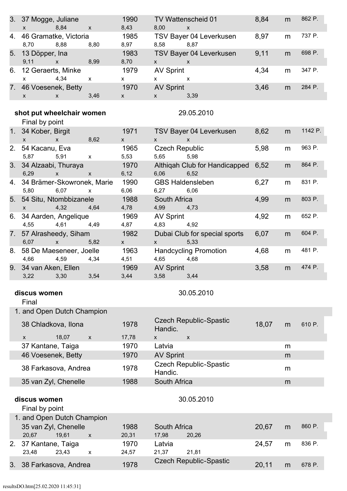|    | 3. 37 Mogge, Juliane<br>x 8,84 x                   |                           | 1990<br>8,43                                        | 8,00 x                                         | TV Wattenscheid 01 8,84               |       | m      | 862 P.  |
|----|----------------------------------------------------|---------------------------|-----------------------------------------------------|------------------------------------------------|---------------------------------------|-------|--------|---------|
|    | 4. 46 Gramatke, Victoria<br>8,70 8,88 8,80         |                           | 1985<br>8,97                                        | 8,58 8,87                                      | TSV Bayer 04 Leverkusen 8,97          |       | m      | 737 P.  |
|    | 5. 13 Döpper, Ina<br>9,11 x 8,99                   |                           | 1983<br>8,70                                        | $x \qquad x$                                   | TSV Bayer 04 Leverkusen               | 9,11  | m      | 698 P.  |
|    | 6. 12 Geraerts, Minke<br>$x = 4,34$ x              |                           | 1979<br>$\mathsf{X}$                                | <b>AV Sprint</b><br>$x \qquad x$               |                                       | 4,34  | m      | 347 P.  |
|    | 7. 46 Voesenek, Betty 1970<br>x x 3,46             |                           | $\mathsf{X}$ and $\mathsf{X}$                       | AV Sprint<br>$x = 3,39$                        |                                       | 3,46  | m      | 284 P.  |
|    | shot put wheelchair women                          |                           |                                                     |                                                | 29.05.2010                            |       |        |         |
|    | Final by point                                     |                           |                                                     |                                                |                                       |       |        |         |
|    | 1. 34 Kober, Birgit<br>$x \times 8,62$             | <u> 1999 - Jan Ja</u>     | 1971<br>$\mathbf x$ and $\mathbf x$ and $\mathbf x$ | $X$ $X$                                        | TSV Bayer 04 Leverkusen 8,62          |       | m      | 1142 P. |
|    | 2. 54 Kacanu, Eva<br>5,87 5,91 x                   |                           | 1965<br>5,53                                        | 5,65 5,98                                      | Czech Republic <b>Canadia</b>         | 5,98  | m      | 963 P.  |
|    | 3. 34 Alzaabi, Thuraya<br>6,29 x x                 |                           | 1970<br>6,12                                        | 6,06 6,52                                      | Althiqah Club for Handicapped 6,52    |       | m      | 864 P.  |
|    | 4. 34 Brämer-Skowronek, Marie<br>5,80 6,07 x       |                           | 1990<br>6,06                                        | 6,27 6,06                                      | <b>GBS Haldensleben</b>               | 6,27  | m      | 831 P.  |
|    | 5. 54 Situ, Ntombbizanele<br>$x = 4,32 + 4,64$     |                           | 1988<br>4,78                                        | South Africa<br>4,99 4,73                      |                                       | 4,99  | m      | 803 P.  |
|    | 6. 34 Aarden, Angelique<br>4,55 4,61 4,49          |                           | 1969<br>4,87                                        | <b>AV Sprint</b><br>4,83 4,92                  |                                       | 4,92  | m      | 652 P.  |
|    | 7. 57 Alrasheedy, Siham<br>6,07 x 5,82             |                           | 1982<br>$\mathbf x$ and $\mathbf x$ and $\mathbf x$ | $\mathsf{X}$ and $\mathsf{X}$ and $\mathsf{X}$ | Dubai Club for special sports<br>5,33 | 6,07  | m      | 604 P.  |
|    | 8. 58 De Maeseneer, Joelle 1963<br>4,66 4,59 4,34  |                           | 4,51                                                | 4,65 4,68                                      | <b>Handcycling Promotion</b>          | 4,68  | m      | 481 P.  |
|    | 9. 34 van Aken, Ellen 1969<br>3,22 3,30 3,54       |                           | 3,44                                                | AV Sprint<br>3,58 3,44                         |                                       | 3,58  | m      | 474 P.  |
|    | discus women                                       |                           |                                                     |                                                | 30.05.2010                            |       |        |         |
|    | Final                                              |                           |                                                     |                                                |                                       |       |        |         |
|    | 1. and Open Dutch Champion                         |                           |                                                     |                                                |                                       |       |        |         |
|    | 38 Chladkova, Ilona                                |                           | 1978                                                | Handic.                                        | <b>Czech Republic-Spastic</b>         | 18,07 | m      | 610 P.  |
|    | 18,07<br>X                                         | $\boldsymbol{\mathsf{x}}$ | 17,78                                               | X.                                             | $\mathsf{x}$                          |       |        |         |
|    | 37 Kantane, Taiga                                  |                           | 1970<br>1970                                        | Latvia                                         |                                       |       | m      |         |
|    | 46 Voesenek, Betty<br>38 Farkasova, Andrea         |                           | 1978                                                | <b>AV Sprint</b>                               | <b>Czech Republic-Spastic</b>         |       | m<br>m |         |
|    | 35 van Zyl, Chenelle                               |                           | 1988                                                | Handic.<br>South Africa                        |                                       |       | m      |         |
|    | discus women                                       |                           |                                                     |                                                | 30.05.2010                            |       |        |         |
|    | Final by point                                     |                           |                                                     |                                                |                                       |       |        |         |
|    | 1. and Open Dutch Champion<br>35 van Zyl, Chenelle |                           | 1988                                                | South Africa                                   |                                       | 20,67 | m      | 860 P.  |
|    | 20,67<br>19,61                                     | $\mathsf{x}$              | 20,31                                               | 17,98                                          | 20,26                                 |       |        |         |
| 2. | 37 Kantane, Taiga<br>23,43<br>23,48                | X                         | 1970<br>24,57                                       | Latvia<br>21,37                                | 21,81                                 | 24,57 | m      | 836 P.  |
| 3. | 38 Farkasova, Andrea                               |                           | 1978                                                |                                                | <b>Czech Republic-Spastic</b>         | 20,11 | m      | 678 P.  |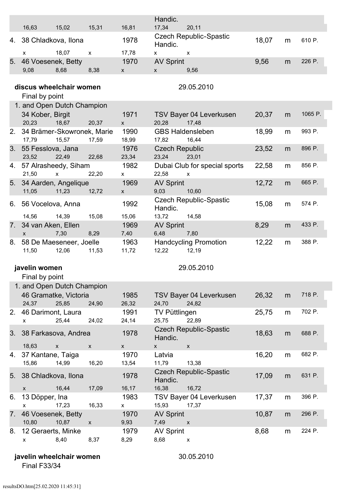|    |                                     |                    |                           |                                   | Handic.                          |                                                     |       |   |         |
|----|-------------------------------------|--------------------|---------------------------|-----------------------------------|----------------------------------|-----------------------------------------------------|-------|---|---------|
|    | 16,63                               | 15,02              | 15,31                     | 16,81                             | 17,34                            | 20,11                                               |       |   |         |
|    | 4. 38 Chladkova, Ilona              |                    |                           | 1978                              | Handic.                          | <b>Czech Republic-Spastic</b>                       | 18,07 | m | 610 P.  |
|    | $\mathsf{x}$                        | 18,07              | $\boldsymbol{\mathsf{x}}$ | 17,78                             | X                                | $\boldsymbol{\mathsf{X}}$                           |       |   | 226 P.  |
| 5. | 46 Voesenek, Betty<br>9,08          | 8,68               | 8,38                      | 1970<br>$\mathsf X$               | <b>AV Sprint</b><br>$\mathsf{x}$ | 9,56                                                | 9,56  | m |         |
|    |                                     |                    |                           |                                   |                                  |                                                     |       |   |         |
|    | discus wheelchair women             |                    |                           |                                   |                                  | 29.05.2010                                          |       |   |         |
|    | Final by point                      |                    |                           |                                   |                                  |                                                     |       |   |         |
|    | 1. and Open Dutch Champion          |                    |                           |                                   |                                  |                                                     |       |   |         |
|    | 34 Kober, Birgit                    |                    |                           | 1971                              |                                  | TSV Bayer 04 Leverkusen                             | 20,37 | m | 1065 P. |
|    | 20,23                               | 18,67              | 20,37                     | $\boldsymbol{\mathsf{X}}$         | 20,28                            | 17,48                                               |       |   |         |
| 2. | 34 Brämer-Skowronek, Marie<br>17,79 | 15,57              | 17,59                     | 1990<br>18,99                     | <b>GBS Haldensleben</b><br>17,82 | 16,44                                               | 18,99 | m | 993 P.  |
| 3. | 55 Fesslova, Jana<br>23,52          | 22,49              | 22,68                     | 1976<br>23,34                     | <b>Czech Republic</b><br>23,24   | 23,01                                               | 23,52 | m | 896 P.  |
| 4. | 57 Alrasheedy, Siham<br>21,50       | $\mathsf X$        | 22,20                     | 1982<br>X                         | 22,58                            | Dubai Club for special sports<br>$\pmb{\mathsf{X}}$ | 22,58 | m | 856 P.  |
| 5. | 34 Aarden, Angelique<br>11,05       | 11,23              | 12,72                     | 1969<br>$\boldsymbol{\mathsf{X}}$ | <b>AV Sprint</b><br>9,03         | 10,60                                               | 12,72 | m | 665 P.  |
| 6. | 56 Vocelova, Anna                   |                    |                           | 1992                              | Handic.                          | <b>Czech Republic-Spastic</b>                       | 15,08 | m | 574 P.  |
|    | 14,56                               | 14,39              | 15,08                     | 15,06                             | 13,72                            | 14,58                                               |       |   |         |
| 7. | 34 van Aken, Ellen                  |                    |                           | 1969                              | <b>AV Sprint</b>                 |                                                     | 8,29  | m | 433 P.  |
|    | $\mathsf{x}$                        | 7,30               | 8,29                      | 7,40                              | 6,48                             | 7,80                                                |       |   | 388 P.  |
| 8. | 58 De Maeseneer, Joelle<br>11,50    | 12,06              | 11,53                     | 1963<br>11,72                     | 12,22                            | <b>Handcycling Promotion</b><br>12,19               | 12,22 | m |         |
|    | javelin women                       |                    |                           |                                   |                                  | 29.05.2010                                          |       |   |         |
|    | Final by point                      |                    |                           |                                   |                                  |                                                     |       |   |         |
|    | 1. and Open Dutch Champion          |                    |                           |                                   |                                  |                                                     |       |   |         |
|    | 46 Gramatke, Victoria               |                    |                           | 1985                              |                                  | TSV Bayer 04 Leverkusen                             | 26,32 | m | 718 P.  |
|    | 24,37                               | 25,85              | 24,90                     | 26,32                             | 24,70                            | 24,82                                               |       |   |         |
| 2. | 46 Darimont, Laura                  |                    |                           | 1991                              | <b>TV Püttlingen</b>             |                                                     | 25,75 | m | 702 P.  |
|    | X                                   | 25,44              | 24,02                     | 24,14                             | 25,75                            | 22,89                                               |       |   |         |
|    | 3. 38 Farkasova, Andrea             |                    |                           | 1978                              | Handic.                          | <b>Czech Republic-Spastic</b>                       | 18,63 | m | 688 P.  |
|    | 18,63                               | $\pmb{\mathsf{X}}$ | $\mathsf{x}$              | $\mathsf X$                       | $\mathsf{X}^-$                   | $\mathsf{x}$                                        |       |   |         |
| 4. | 37 Kantane, Taiga<br>15,86          | 14,99              | 16,20                     | 1970<br>13,54                     | Latvia<br>11,79                  | 13,38                                               | 16,20 | m | 682 P.  |
|    | 5. 38 Chladkova, Ilona              |                    |                           | 1978                              | Handic.                          | <b>Czech Republic-Spastic</b>                       | 17,09 | m | 631 P.  |
|    | $\mathsf X$                         | 16,44              | 17,09                     | 16,17                             | 16,38                            | 16,72                                               |       |   |         |
| 6. | 13 Döpper, Ina<br>$\mathsf{x}$      | 17,23              | 16,33                     | 1983<br>$\pmb{\mathsf{X}}$        | 15,93                            | TSV Bayer 04 Leverkusen<br>17,37                    | 17,37 | m | 396 P.  |
| 7. |                                     |                    |                           |                                   | <b>AV Sprint</b>                 |                                                     | 10,87 |   | 296 P.  |
|    | 46 Voesenek, Betty                  |                    | $\pmb{\mathsf{X}}$        | 1970                              |                                  | $\pmb{\mathsf{X}}$                                  |       | m |         |
| 8. | 10,80<br>12 Geraerts, Minke         | 10,87              |                           | 9,93<br>1979                      | 7,49<br><b>AV Sprint</b>         |                                                     | 8,68  | m | 224 P.  |

**javelin wheelchair women** 30.05.2010

Final F33/34